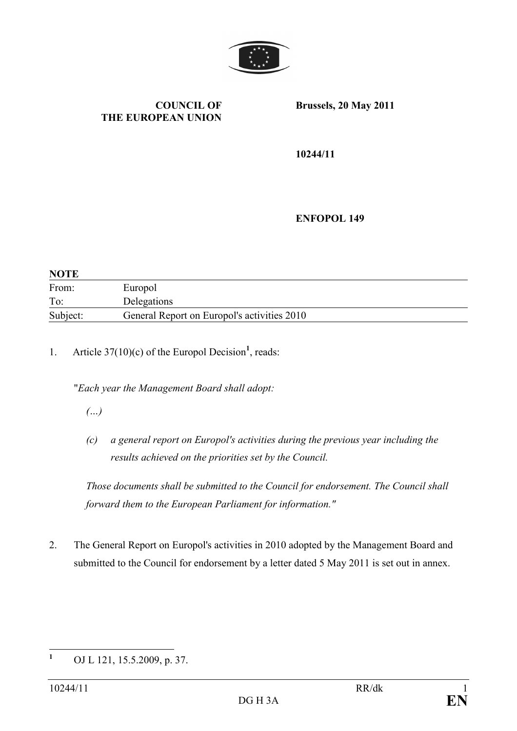

### COUNCIL OF THE EUROPEAN UNION

Brussels, 20 May 2011

10244/11

ENFOPOL 149

| <b>NOTE</b> |                                             |
|-------------|---------------------------------------------|
| From:       | Europol                                     |
| To:         | Delegations                                 |
| Subject:    | General Report on Europol's activities 2010 |

1. Article  $37(10)(c)$  of the Europol Decision<sup>1</sup>, reads:

"Each year the Management Board shall adopt:

(…)

(c) a general report on Europol's activities during the previous year including the results achieved on the priorities set by the Council.

Those documents shall be submitted to the Council for endorsement. The Council shall forward them to the European Parliament for information."

2. The General Report on Europol's activities in 2010 adopted by the Management Board and submitted to the Council for endorsement by a letter dated 5 May 2011 is set out in annex.

 $\mathbf{1}$ OJ L 121, 15.5.2009, p. 37.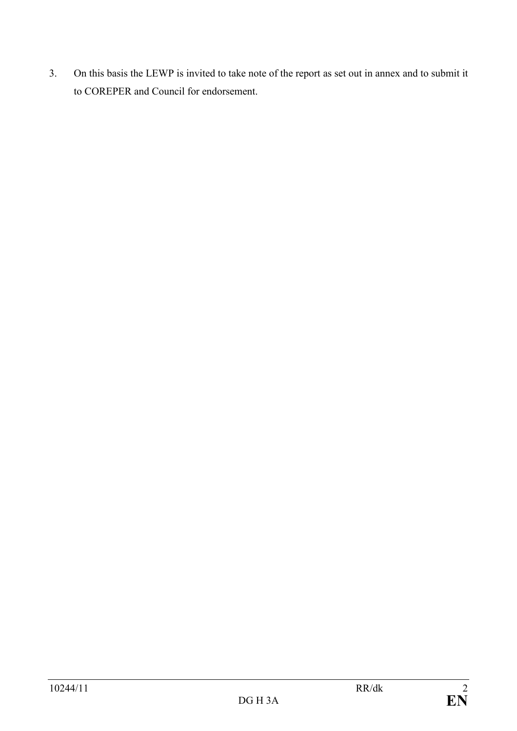3. On this basis the LEWP is invited to take note of the report as set out in annex and to submit it to COREPER and Council for endorsement.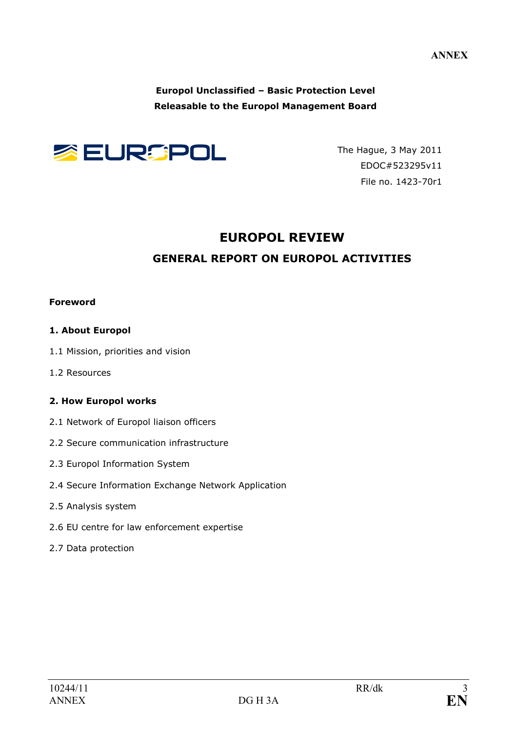ANNEX

Europol Unclassified – Basic Protection Level Releasable to the Europol Management Board



The Hague, 3 May 2011 EDOC#523295v11 File no. 1423-70r1

## EUROPOL REVIEW

## GENERAL REPORT ON EUROPOL ACTIVITIES

#### Foreword

### 1. About Europol

- 1.1 Mission, priorities and vision
- 1.2 Resources

### 2. How Europol works

- 2.1 Network of Europol liaison officers
- 2.2 Secure communication infrastructure
- 2.3 Europol Information System
- 2.4 Secure Information Exchange Network Application
- 2.5 Analysis system
- 2.6 EU centre for law enforcement expertise
- 2.7 Data protection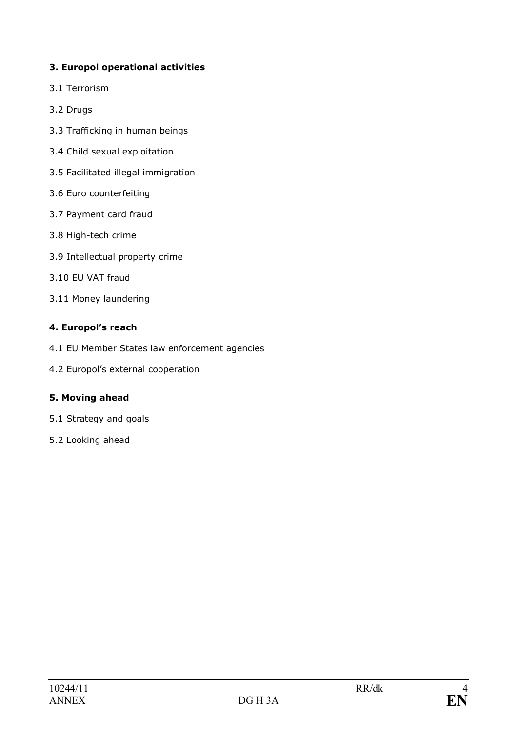## 3. Europol operational activities

- 3.1 Terrorism
- 3.2 Drugs
- 3.3 Trafficking in human beings
- 3.4 Child sexual exploitation
- 3.5 Facilitated illegal immigration
- 3.6 Euro counterfeiting
- 3.7 Payment card fraud
- 3.8 High-tech crime
- 3.9 Intellectual property crime
- 3.10 EU VAT fraud
- 3.11 Money laundering

### 4. Europol's reach

- 4.1 EU Member States law enforcement agencies
- 4.2 Europol's external cooperation

### 5. Moving ahead

- 5.1 Strategy and goals
- 5.2 Looking ahead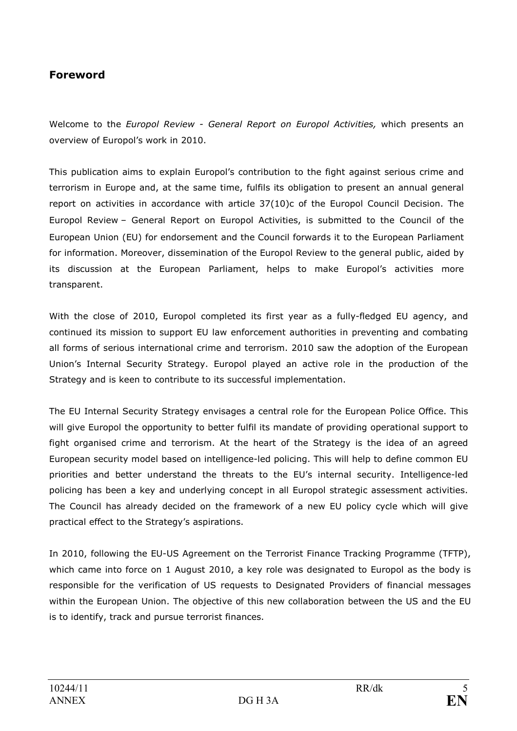## Foreword

Welcome to the Europol Review - General Report on Europol Activities, which presents an overview of Europol's work in 2010.

This publication aims to explain Europol's contribution to the fight against serious crime and terrorism in Europe and, at the same time, fulfils its obligation to present an annual general report on activities in accordance with article 37(10)c of the Europol Council Decision. The Europol Review – General Report on Europol Activities, is submitted to the Council of the European Union (EU) for endorsement and the Council forwards it to the European Parliament for information. Moreover, dissemination of the Europol Review to the general public, aided by its discussion at the European Parliament, helps to make Europol's activities more transparent.

With the close of 2010, Europol completed its first year as a fully-fledged EU agency, and continued its mission to support EU law enforcement authorities in preventing and combating all forms of serious international crime and terrorism. 2010 saw the adoption of the European Union's Internal Security Strategy. Europol played an active role in the production of the Strategy and is keen to contribute to its successful implementation.

The EU Internal Security Strategy envisages a central role for the European Police Office. This will give Europol the opportunity to better fulfil its mandate of providing operational support to fight organised crime and terrorism. At the heart of the Strategy is the idea of an agreed European security model based on intelligence-led policing. This will help to define common EU priorities and better understand the threats to the EU's internal security. Intelligence-led policing has been a key and underlying concept in all Europol strategic assessment activities. The Council has already decided on the framework of a new EU policy cycle which will give practical effect to the Strategy's aspirations.

In 2010, following the EU-US Agreement on the Terrorist Finance Tracking Programme (TFTP), which came into force on 1 August 2010, a key role was designated to Europol as the body is responsible for the verification of US requests to Designated Providers of financial messages within the European Union. The objective of this new collaboration between the US and the EU is to identify, track and pursue terrorist finances.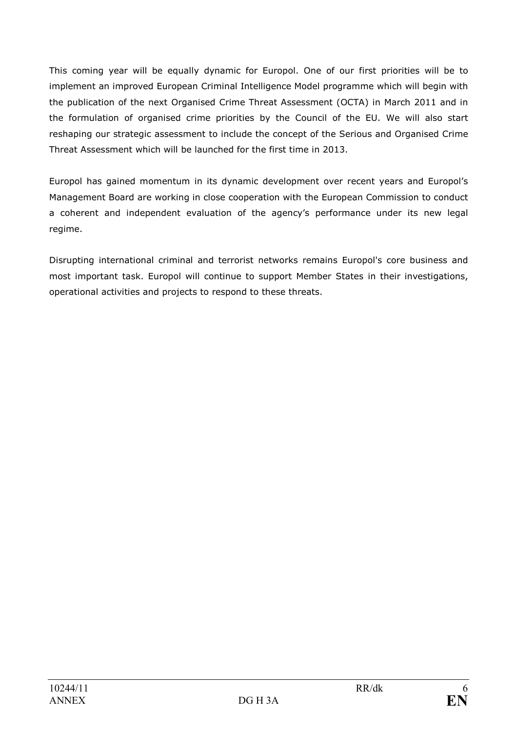This coming year will be equally dynamic for Europol. One of our first priorities will be to implement an improved European Criminal Intelligence Model programme which will begin with the publication of the next Organised Crime Threat Assessment (OCTA) in March 2011 and in the formulation of organised crime priorities by the Council of the EU. We will also start reshaping our strategic assessment to include the concept of the Serious and Organised Crime Threat Assessment which will be launched for the first time in 2013.

Europol has gained momentum in its dynamic development over recent years and Europol's Management Board are working in close cooperation with the European Commission to conduct a coherent and independent evaluation of the agency's performance under its new legal regime.

Disrupting international criminal and terrorist networks remains Europol's core business and most important task. Europol will continue to support Member States in their investigations, operational activities and projects to respond to these threats.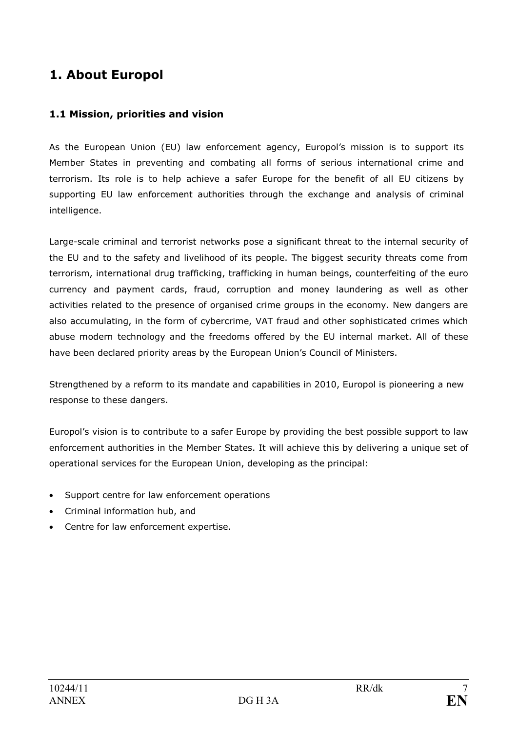# 1. About Europol

## 1.1 Mission, priorities and vision

As the European Union (EU) law enforcement agency, Europol's mission is to support its Member States in preventing and combating all forms of serious international crime and terrorism. Its role is to help achieve a safer Europe for the benefit of all EU citizens by supporting EU law enforcement authorities through the exchange and analysis of criminal intelligence.

Large-scale criminal and terrorist networks pose a significant threat to the internal security of the EU and to the safety and livelihood of its people. The biggest security threats come from terrorism, international drug trafficking, trafficking in human beings, counterfeiting of the euro currency and payment cards, fraud, corruption and money laundering as well as other activities related to the presence of organised crime groups in the economy. New dangers are also accumulating, in the form of cybercrime, VAT fraud and other sophisticated crimes which abuse modern technology and the freedoms offered by the EU internal market. All of these have been declared priority areas by the European Union's Council of Ministers.

Strengthened by a reform to its mandate and capabilities in 2010, Europol is pioneering a new response to these dangers.

Europol's vision is to contribute to a safer Europe by providing the best possible support to law enforcement authorities in the Member States. It will achieve this by delivering a unique set of operational services for the European Union, developing as the principal:

- Support centre for law enforcement operations
- Criminal information hub, and
- Centre for law enforcement expertise.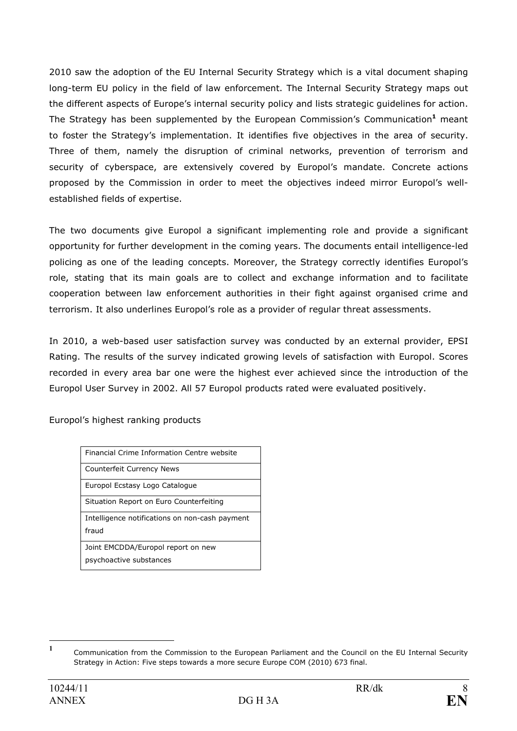2010 saw the adoption of the EU Internal Security Strategy which is a vital document shaping long-term EU policy in the field of law enforcement. The Internal Security Strategy maps out the different aspects of Europe's internal security policy and lists strategic guidelines for action. The Strategy has been supplemented by the European Commission's Communication<sup>1</sup> meant to foster the Strategy's implementation. It identifies five objectives in the area of security. Three of them, namely the disruption of criminal networks, prevention of terrorism and security of cyberspace, are extensively covered by Europol's mandate. Concrete actions proposed by the Commission in order to meet the objectives indeed mirror Europol's wellestablished fields of expertise.

The two documents give Europol a significant implementing role and provide a significant opportunity for further development in the coming years. The documents entail intelligence-led policing as one of the leading concepts. Moreover, the Strategy correctly identifies Europol's role, stating that its main goals are to collect and exchange information and to facilitate cooperation between law enforcement authorities in their fight against organised crime and terrorism. It also underlines Europol's role as a provider of regular threat assessments.

In 2010, a web-based user satisfaction survey was conducted by an external provider, EPSI Rating. The results of the survey indicated growing levels of satisfaction with Europol. Scores recorded in every area bar one were the highest ever achieved since the introduction of the Europol User Survey in 2002. All 57 Europol products rated were evaluated positively.

Europol's highest ranking products

| Financial Crime Information Centre website                    |
|---------------------------------------------------------------|
| <b>Counterfeit Currency News</b>                              |
| Europol Ecstasy Logo Catalogue                                |
| Situation Report on Euro Counterfeiting                       |
| Intelligence notifications on non-cash payment<br>fraud       |
| Joint EMCDDA/Europol report on new<br>psychoactive substances |
|                                                               |

 $\frac{1}{1}$ Communication from the Commission to the European Parliament and the Council on the EU Internal Security Strategy in Action: Five steps towards a more secure Europe COM (2010) 673 final.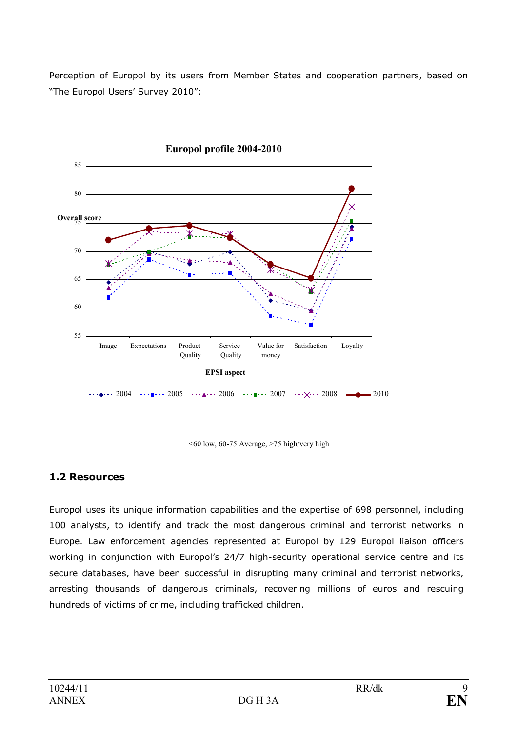Perception of Europol by its users from Member States and cooperation partners, based on "The Europol Users' Survey 2010":



<60 low, 60-75 Average, >75 high/very high

## 1.2 Resources

Europol uses its unique information capabilities and the expertise of 698 personnel, including 100 analysts, to identify and track the most dangerous criminal and terrorist networks in Europe. Law enforcement agencies represented at Europol by 129 Europol liaison officers working in conjunction with Europol's 24/7 high-security operational service centre and its secure databases, have been successful in disrupting many criminal and terrorist networks, arresting thousands of dangerous criminals, recovering millions of euros and rescuing hundreds of victims of crime, including trafficked children.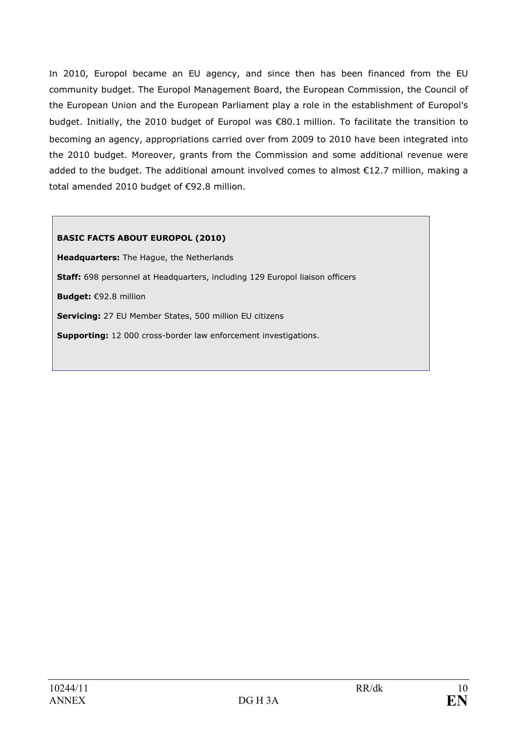In 2010, Europol became an EU agency, and since then has been financed from the EU community budget. The Europol Management Board, the European Commission, the Council of the European Union and the European Parliament play a role in the establishment of Europol's budget. Initially, the 2010 budget of Europol was €80.1 million. To facilitate the transition to becoming an agency, appropriations carried over from 2009 to 2010 have been integrated into the 2010 budget. Moreover, grants from the Commission and some additional revenue were added to the budget. The additional amount involved comes to almost €12.7 million, making a total amended 2010 budget of €92.8 million.

### BASIC FACTS ABOUT EUROPOL (2010)

Headquarters: The Hague, the Netherlands Staff: 698 personnel at Headquarters, including 129 Europol liaison officers Budget: €92.8 million Servicing: 27 EU Member States, 500 million EU citizens Supporting: 12 000 cross-border law enforcement investigations.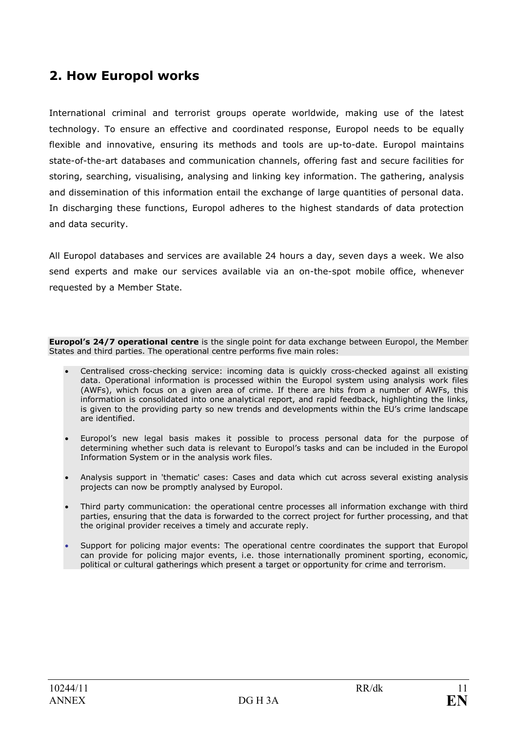# 2. How Europol works

International criminal and terrorist groups operate worldwide, making use of the latest technology. To ensure an effective and coordinated response, Europol needs to be equally flexible and innovative, ensuring its methods and tools are up-to-date. Europol maintains state-of-the-art databases and communication channels, offering fast and secure facilities for storing, searching, visualising, analysing and linking key information. The gathering, analysis and dissemination of this information entail the exchange of large quantities of personal data. In discharging these functions, Europol adheres to the highest standards of data protection and data security.

All Europol databases and services are available 24 hours a day, seven days a week. We also send experts and make our services available via an on-the-spot mobile office, whenever requested by a Member State.

**Europol's 24/7 operational centre** is the single point for data exchange between Europol, the Member States and third parties. The operational centre performs five main roles:

- Centralised cross-checking service: incoming data is quickly cross-checked against all existing data. Operational information is processed within the Europol system using analysis work files (AWFs), which focus on a given area of crime. If there are hits from a number of AWFs, this information is consolidated into one analytical report, and rapid feedback, highlighting the links, is given to the providing party so new trends and developments within the EU's crime landscape are identified.
- Europol's new legal basis makes it possible to process personal data for the purpose of determining whether such data is relevant to Europol's tasks and can be included in the Europol Information System or in the analysis work files.
- Analysis support in 'thematic' cases: Cases and data which cut across several existing analysis projects can now be promptly analysed by Europol.
- Third party communication: the operational centre processes all information exchange with third parties, ensuring that the data is forwarded to the correct project for further processing, and that the original provider receives a timely and accurate reply.
- Support for policing major events: The operational centre coordinates the support that Europol can provide for policing major events, i.e. those internationally prominent sporting, economic, political or cultural gatherings which present a target or opportunity for crime and terrorism.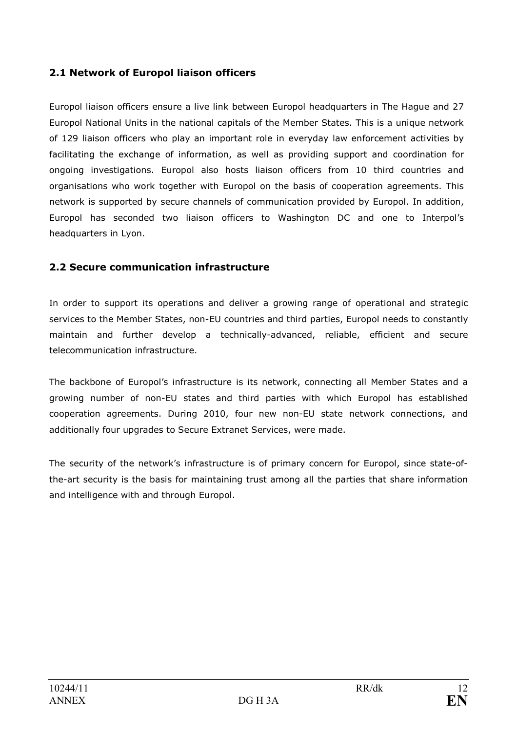## 2.1 Network of Europol liaison officers

Europol liaison officers ensure a live link between Europol headquarters in The Hague and 27 Europol National Units in the national capitals of the Member States. This is a unique network of 129 liaison officers who play an important role in everyday law enforcement activities by facilitating the exchange of information, as well as providing support and coordination for ongoing investigations. Europol also hosts liaison officers from 10 third countries and organisations who work together with Europol on the basis of cooperation agreements. This network is supported by secure channels of communication provided by Europol. In addition, Europol has seconded two liaison officers to Washington DC and one to Interpol's headquarters in Lyon.

## 2.2 Secure communication infrastructure

In order to support its operations and deliver a growing range of operational and strategic services to the Member States, non-EU countries and third parties, Europol needs to constantly maintain and further develop a technically-advanced, reliable, efficient and secure telecommunication infrastructure.

The backbone of Europol's infrastructure is its network, connecting all Member States and a growing number of non-EU states and third parties with which Europol has established cooperation agreements. During 2010, four new non-EU state network connections, and additionally four upgrades to Secure Extranet Services, were made.

The security of the network's infrastructure is of primary concern for Europol, since state-ofthe-art security is the basis for maintaining trust among all the parties that share information and intelligence with and through Europol.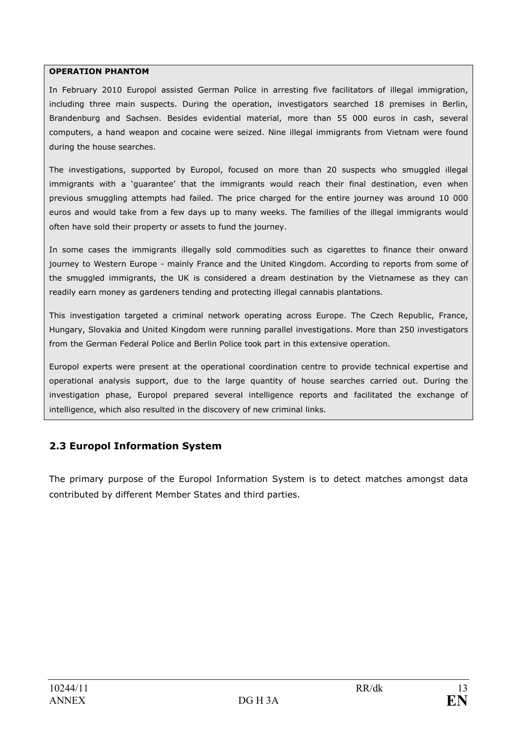#### OPERATION PHANTOM

In February 2010 Europol assisted German Police in arresting five facilitators of illegal immigration, including three main suspects. During the operation, investigators searched 18 premises in Berlin, Brandenburg and Sachsen. Besides evidential material, more than 55 000 euros in cash, several computers, a hand weapon and cocaine were seized. Nine illegal immigrants from Vietnam were found during the house searches.

The investigations, supported by Europol, focused on more than 20 suspects who smuggled illegal immigrants with a 'guarantee' that the immigrants would reach their final destination, even when previous smuggling attempts had failed. The price charged for the entire journey was around 10 000 euros and would take from a few days up to many weeks. The families of the illegal immigrants would often have sold their property or assets to fund the journey.

In some cases the immigrants illegally sold commodities such as cigarettes to finance their onward journey to Western Europe - mainly France and the United Kingdom. According to reports from some of the smuggled immigrants, the UK is considered a dream destination by the Vietnamese as they can readily earn money as gardeners tending and protecting illegal cannabis plantations.

This investigation targeted a criminal network operating across Europe. The Czech Republic, France, Hungary, Slovakia and United Kingdom were running parallel investigations. More than 250 investigators from the German Federal Police and Berlin Police took part in this extensive operation.

Europol experts were present at the operational coordination centre to provide technical expertise and operational analysis support, due to the large quantity of house searches carried out. During the investigation phase, Europol prepared several intelligence reports and facilitated the exchange of intelligence, which also resulted in the discovery of new criminal links.

## 2.3 Europol Information System

The primary purpose of the Europol Information System is to detect matches amongst data contributed by different Member States and third parties.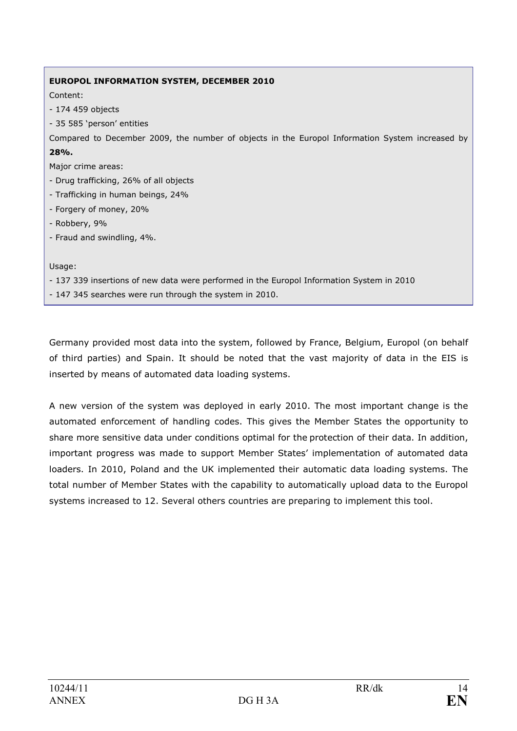# EUROPOL INFORMATION SYSTEM, DECEMBER 2010 Content: - 174 459 objects - 35 585 'person' entities Compared to December 2009, the number of objects in the Europol Information System increased by 28%. Major crime areas: - Drug trafficking, 26% of all objects - Trafficking in human beings, 24% - Forgery of money, 20% - Robbery, 9% - Fraud and swindling, 4%. Usage:

- 137 339 insertions of new data were performed in the Europol Information System in 2010

- 147 345 searches were run through the system in 2010.

Germany provided most data into the system, followed by France, Belgium, Europol (on behalf of third parties) and Spain. It should be noted that the vast majority of data in the EIS is inserted by means of automated data loading systems.

A new version of the system was deployed in early 2010. The most important change is the automated enforcement of handling codes. This gives the Member States the opportunity to share more sensitive data under conditions optimal for the protection of their data. In addition, important progress was made to support Member States' implementation of automated data loaders. In 2010, Poland and the UK implemented their automatic data loading systems. The total number of Member States with the capability to automatically upload data to the Europol systems increased to 12. Several others countries are preparing to implement this tool.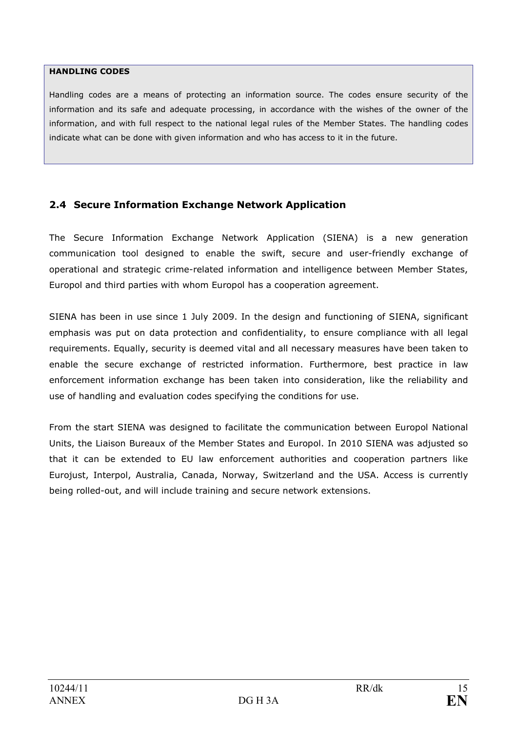#### HANDLING CODES

Handling codes are a means of protecting an information source. The codes ensure security of the information and its safe and adequate processing, in accordance with the wishes of the owner of the information, and with full respect to the national legal rules of the Member States. The handling codes indicate what can be done with given information and who has access to it in the future.

## 2.4 Secure Information Exchange Network Application

The Secure Information Exchange Network Application (SIENA) is a new generation communication tool designed to enable the swift, secure and user-friendly exchange of operational and strategic crime-related information and intelligence between Member States, Europol and third parties with whom Europol has a cooperation agreement.

SIENA has been in use since 1 July 2009. In the design and functioning of SIENA, significant emphasis was put on data protection and confidentiality, to ensure compliance with all legal requirements. Equally, security is deemed vital and all necessary measures have been taken to enable the secure exchange of restricted information. Furthermore, best practice in law enforcement information exchange has been taken into consideration, like the reliability and use of handling and evaluation codes specifying the conditions for use.

From the start SIENA was designed to facilitate the communication between Europol National Units, the Liaison Bureaux of the Member States and Europol. In 2010 SIENA was adjusted so that it can be extended to EU law enforcement authorities and cooperation partners like Eurojust, Interpol, Australia, Canada, Norway, Switzerland and the USA. Access is currently being rolled-out, and will include training and secure network extensions.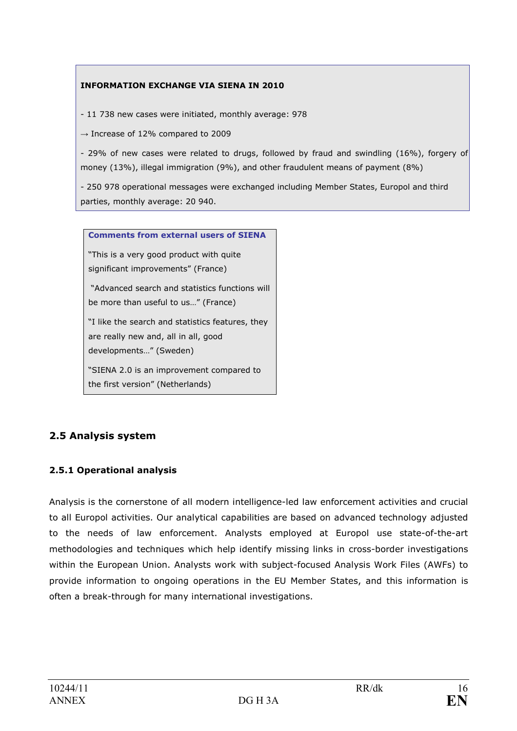### INFORMATION EXCHANGE VIA SIENA IN 2010

- 11 738 new cases were initiated, monthly average: 978

 $\rightarrow$  Increase of 12% compared to 2009

- 29% of new cases were related to drugs, followed by fraud and swindling (16%), forgery of money (13%), illegal immigration (9%), and other fraudulent means of payment (8%)

- 250 978 operational messages were exchanged including Member States, Europol and third parties, monthly average: 20 940.

Comments from external users of SIENA

"This is a very good product with quite significant improvements" (France)

 "Advanced search and statistics functions will be more than useful to us…" (France)

"I like the search and statistics features, they are really new and, all in all, good developments…" (Sweden)

"SIENA 2.0 is an improvement compared to the first version" (Netherlands)

## 2.5 Analysis system

### 2.5.1 Operational analysis

Analysis is the cornerstone of all modern intelligence-led law enforcement activities and crucial to all Europol activities. Our analytical capabilities are based on advanced technology adjusted to the needs of law enforcement. Analysts employed at Europol use state-of-the-art methodologies and techniques which help identify missing links in cross-border investigations within the European Union. Analysts work with subject-focused Analysis Work Files (AWFs) to provide information to ongoing operations in the EU Member States, and this information is often a break-through for many international investigations.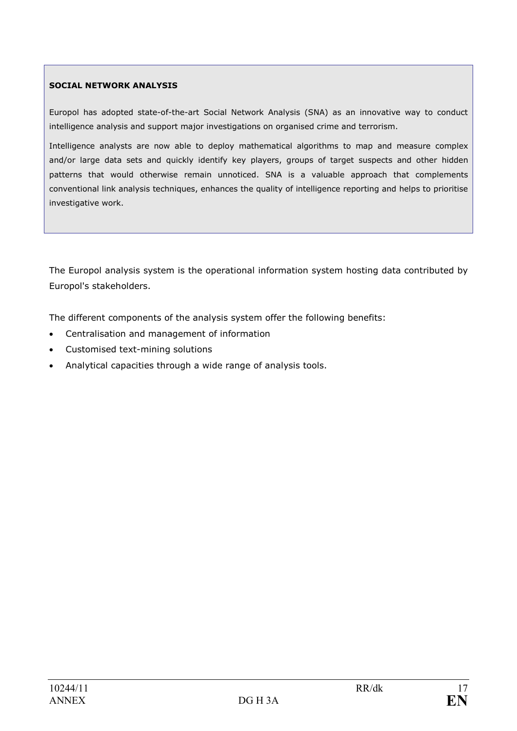### SOCIAL NETWORK ANALYSIS

Europol has adopted state-of-the-art Social Network Analysis (SNA) as an innovative way to conduct intelligence analysis and support major investigations on organised crime and terrorism.

Intelligence analysts are now able to deploy mathematical algorithms to map and measure complex and/or large data sets and quickly identify key players, groups of target suspects and other hidden patterns that would otherwise remain unnoticed. SNA is a valuable approach that complements conventional link analysis techniques, enhances the quality of intelligence reporting and helps to prioritise investigative work.

The Europol analysis system is the operational information system hosting data contributed by Europol's stakeholders.

The different components of the analysis system offer the following benefits:

- Centralisation and management of information
- Customised text-mining solutions
- Analytical capacities through a wide range of analysis tools.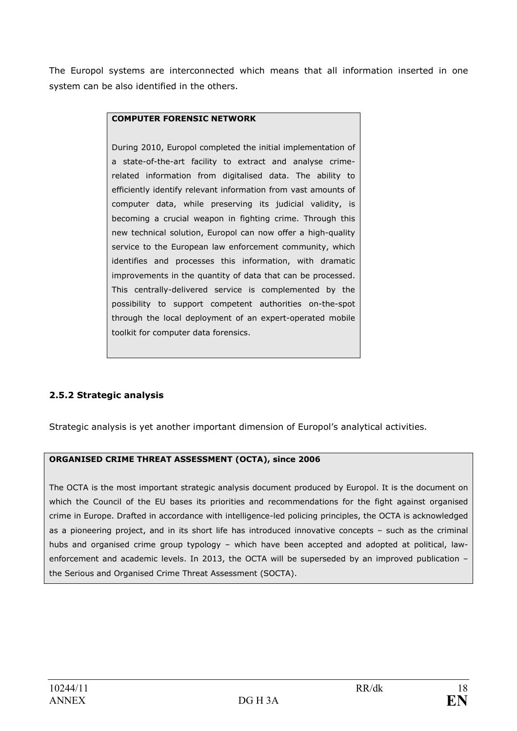The Europol systems are interconnected which means that all information inserted in one system can be also identified in the others.

### COMPUTER FORENSIC NETWORK

During 2010, Europol completed the initial implementation of a state-of-the-art facility to extract and analyse crimerelated information from digitalised data. The ability to efficiently identify relevant information from vast amounts of computer data, while preserving its judicial validity, is becoming a crucial weapon in fighting crime. Through this new technical solution, Europol can now offer a high-quality service to the European law enforcement community, which identifies and processes this information, with dramatic improvements in the quantity of data that can be processed. This centrally-delivered service is complemented by the possibility to support competent authorities on-the-spot through the local deployment of an expert-operated mobile toolkit for computer data forensics.

### 2.5.2 Strategic analysis

Strategic analysis is yet another important dimension of Europol's analytical activities.

#### ORGANISED CRIME THREAT ASSESSMENT (OCTA), since 2006

The OCTA is the most important strategic analysis document produced by Europol. It is the document on which the Council of the EU bases its priorities and recommendations for the fight against organised crime in Europe. Drafted in accordance with intelligence-led policing principles, the OCTA is acknowledged as a pioneering project, and in its short life has introduced innovative concepts – such as the criminal hubs and organised crime group typology – which have been accepted and adopted at political, lawenforcement and academic levels. In 2013, the OCTA will be superseded by an improved publication – the Serious and Organised Crime Threat Assessment (SOCTA).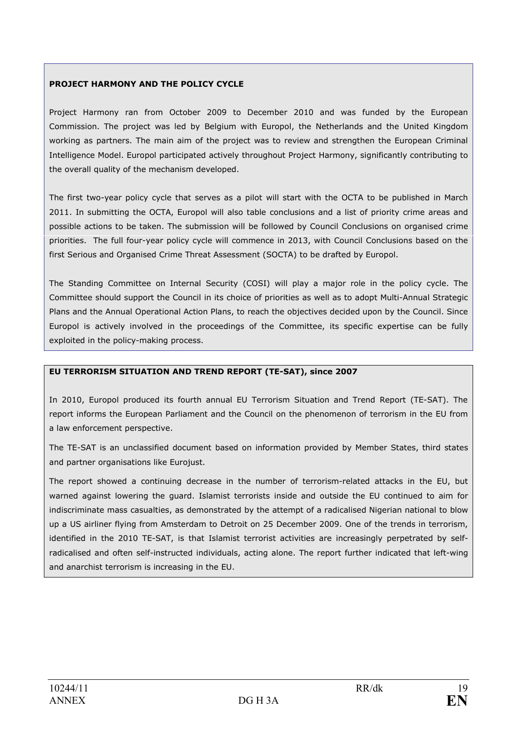#### PROJECT HARMONY AND THE POLICY CYCLE

Project Harmony ran from October 2009 to December 2010 and was funded by the European Commission. The project was led by Belgium with Europol, the Netherlands and the United Kingdom working as partners. The main aim of the project was to review and strengthen the European Criminal Intelligence Model. Europol participated actively throughout Project Harmony, significantly contributing to the overall quality of the mechanism developed.

The first two-year policy cycle that serves as a pilot will start with the OCTA to be published in March 2011. In submitting the OCTA, Europol will also table conclusions and a list of priority crime areas and possible actions to be taken. The submission will be followed by Council Conclusions on organised crime priorities. The full four-year policy cycle will commence in 2013, with Council Conclusions based on the first Serious and Organised Crime Threat Assessment (SOCTA) to be drafted by Europol.

The Standing Committee on Internal Security (COSI) will play a major role in the policy cycle. The Committee should support the Council in its choice of priorities as well as to adopt Multi-Annual Strategic Plans and the Annual Operational Action Plans, to reach the objectives decided upon by the Council. Since Europol is actively involved in the proceedings of the Committee, its specific expertise can be fully exploited in the policy-making process.

#### EU TERRORISM SITUATION AND TREND REPORT (TE-SAT), since 2007

In 2010, Europol produced its fourth annual EU Terrorism Situation and Trend Report (TE-SAT). The report informs the European Parliament and the Council on the phenomenon of terrorism in the EU from a law enforcement perspective.

The TE-SAT is an unclassified document based on information provided by Member States, third states and partner organisations like Eurojust.

The report showed a continuing decrease in the number of terrorism-related attacks in the EU, but warned against lowering the guard. Islamist terrorists inside and outside the EU continued to aim for indiscriminate mass casualties, as demonstrated by the attempt of a radicalised Nigerian national to blow up a US airliner flying from Amsterdam to Detroit on 25 December 2009. One of the trends in terrorism, identified in the 2010 TE-SAT, is that Islamist terrorist activities are increasingly perpetrated by selfradicalised and often self-instructed individuals, acting alone. The report further indicated that left-wing and anarchist terrorism is increasing in the EU.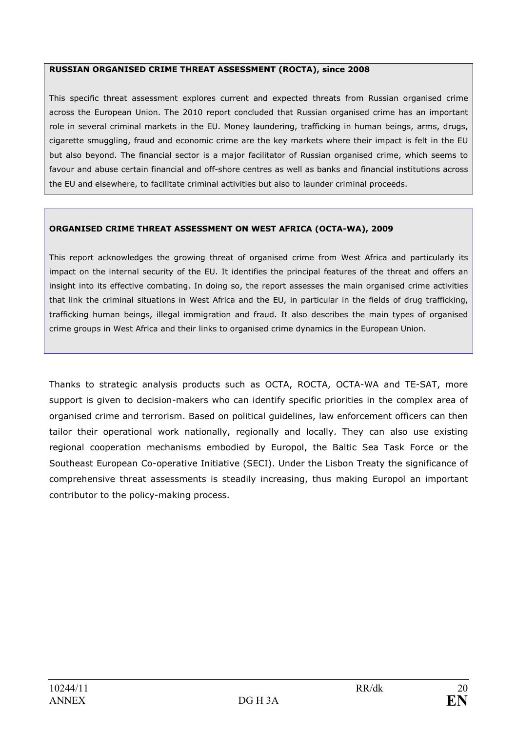#### RUSSIAN ORGANISED CRIME THREAT ASSESSMENT (ROCTA), since 2008

This specific threat assessment explores current and expected threats from Russian organised crime across the European Union. The 2010 report concluded that Russian organised crime has an important role in several criminal markets in the EU. Money laundering, trafficking in human beings, arms, drugs, cigarette smuggling, fraud and economic crime are the key markets where their impact is felt in the EU but also beyond. The financial sector is a major facilitator of Russian organised crime, which seems to favour and abuse certain financial and off-shore centres as well as banks and financial institutions across the EU and elsewhere, to facilitate criminal activities but also to launder criminal proceeds.

#### ORGANISED CRIME THREAT ASSESSMENT ON WEST AFRICA (OCTA-WA), 2009

This report acknowledges the growing threat of organised crime from West Africa and particularly its impact on the internal security of the EU. It identifies the principal features of the threat and offers an insight into its effective combating. In doing so, the report assesses the main organised crime activities that link the criminal situations in West Africa and the EU, in particular in the fields of drug trafficking, trafficking human beings, illegal immigration and fraud. It also describes the main types of organised crime groups in West Africa and their links to organised crime dynamics in the European Union.

Thanks to strategic analysis products such as OCTA, ROCTA, OCTA-WA and TE-SAT, more support is given to decision-makers who can identify specific priorities in the complex area of organised crime and terrorism. Based on political guidelines, law enforcement officers can then tailor their operational work nationally, regionally and locally. They can also use existing regional cooperation mechanisms embodied by Europol, the Baltic Sea Task Force or the Southeast European Co-operative Initiative (SECI). Under the Lisbon Treaty the significance of comprehensive threat assessments is steadily increasing, thus making Europol an important contributor to the policy-making process.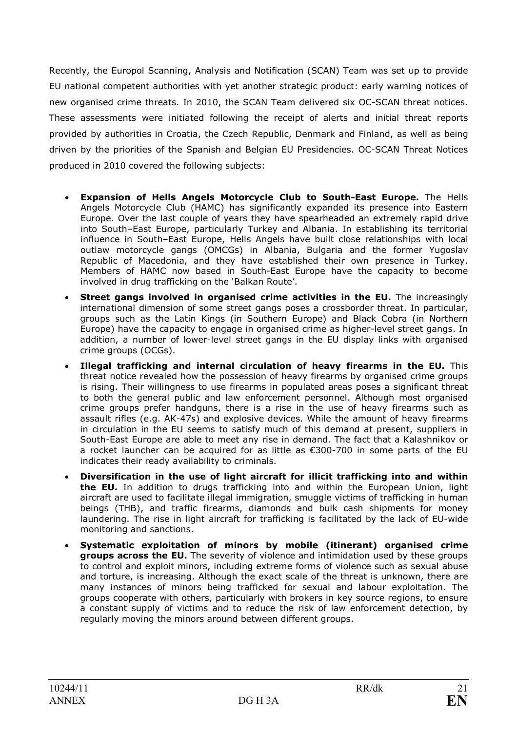Recently, the Europol Scanning, Analysis and Notification (SCAN) Team was set up to provide EU national competent authorities with yet another strategic product: early warning notices of new organised crime threats. In 2010, the SCAN Team delivered six OC-SCAN threat notices. These assessments were initiated following the receipt of alerts and initial threat reports provided by authorities in Croatia, the Czech Republic, Denmark and Finland, as well as being driven by the priorities of the Spanish and Belgian EU Presidencies. OC-SCAN Threat Notices produced in 2010 covered the following subjects:

- Expansion of Hells Angels Motorcycle Club to South-East Europe. The Hells Angels Motorcycle Club (HAMC) has significantly expanded its presence into Eastern Europe. Over the last couple of years they have spearheaded an extremely rapid drive into South–East Europe, particularly Turkey and Albania. In establishing its territorial influence in South–East Europe, Hells Angels have built close relationships with local outlaw motorcycle gangs (OMCGs) in Albania, Bulgaria and the former Yugoslav Republic of Macedonia, and they have established their own presence in Turkey. Members of HAMC now based in South-East Europe have the capacity to become involved in drug trafficking on the 'Balkan Route'.
- Street gangs involved in organised crime activities in the EU. The increasingly international dimension of some street gangs poses a crossborder threat. In particular, groups such as the Latin Kings (in Southern Europe) and Black Cobra (in Northern Europe) have the capacity to engage in organised crime as higher-level street gangs. In addition, a number of lower-level street gangs in the EU display links with organised crime groups (OCGs).
- Illegal trafficking and internal circulation of heavy firearms in the EU. This threat notice revealed how the possession of heavy firearms by organised crime groups is rising. Their willingness to use firearms in populated areas poses a significant threat to both the general public and law enforcement personnel. Although most organised crime groups prefer handguns, there is a rise in the use of heavy firearms such as assault rifles (e.g. AK-47s) and explosive devices. While the amount of heavy firearms in circulation in the EU seems to satisfy much of this demand at present, suppliers in South-East Europe are able to meet any rise in demand. The fact that a Kalashnikov or a rocket launcher can be acquired for as little as  $€300-700$  in some parts of the EU indicates their ready availability to criminals.
- Diversification in the use of light aircraft for illicit trafficking into and within the EU. In addition to drugs trafficking into and within the European Union, light aircraft are used to facilitate illegal immigration, smuggle victims of trafficking in human beings (THB), and traffic firearms, diamonds and bulk cash shipments for money laundering. The rise in light aircraft for trafficking is facilitated by the lack of EU-wide monitoring and sanctions.
- Systematic exploitation of minors by mobile (itinerant) organised crime groups across the EU. The severity of violence and intimidation used by these groups to control and exploit minors, including extreme forms of violence such as sexual abuse and torture, is increasing. Although the exact scale of the threat is unknown, there are many instances of minors being trafficked for sexual and labour exploitation. The groups cooperate with others, particularly with brokers in key source regions, to ensure a constant supply of victims and to reduce the risk of law enforcement detection, by regularly moving the minors around between different groups.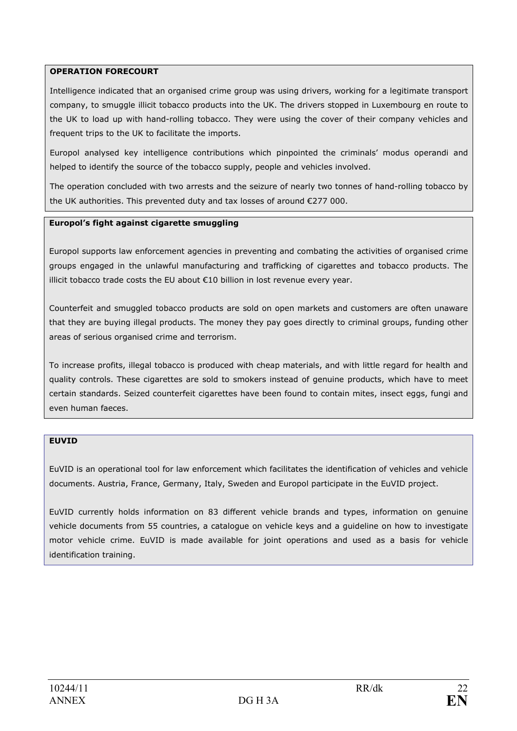#### OPERATION FORECOURT

Intelligence indicated that an organised crime group was using drivers, working for a legitimate transport company, to smuggle illicit tobacco products into the UK. The drivers stopped in Luxembourg en route to the UK to load up with hand-rolling tobacco. They were using the cover of their company vehicles and frequent trips to the UK to facilitate the imports.

Europol analysed key intelligence contributions which pinpointed the criminals' modus operandi and helped to identify the source of the tobacco supply, people and vehicles involved.

The operation concluded with two arrests and the seizure of nearly two tonnes of hand-rolling tobacco by the UK authorities. This prevented duty and tax losses of around €277 000.

#### Europol's fight against cigarette smuggling

Europol supports law enforcement agencies in preventing and combating the activities of organised crime groups engaged in the unlawful manufacturing and trafficking of cigarettes and tobacco products. The illicit tobacco trade costs the EU about €10 billion in lost revenue every year.

Counterfeit and smuggled tobacco products are sold on open markets and customers are often unaware that they are buying illegal products. The money they pay goes directly to criminal groups, funding other areas of serious organised crime and terrorism.

To increase profits, illegal tobacco is produced with cheap materials, and with little regard for health and quality controls. These cigarettes are sold to smokers instead of genuine products, which have to meet certain standards. Seized counterfeit cigarettes have been found to contain mites, insect eggs, fungi and even human faeces.

#### EUVID

EuVID is an operational tool for law enforcement which facilitates the identification of vehicles and vehicle documents. Austria, France, Germany, Italy, Sweden and Europol participate in the EuVID project.

EuVID currently holds information on 83 different vehicle brands and types, information on genuine vehicle documents from 55 countries, a catalogue on vehicle keys and a guideline on how to investigate motor vehicle crime. EuVID is made available for joint operations and used as a basis for vehicle identification training.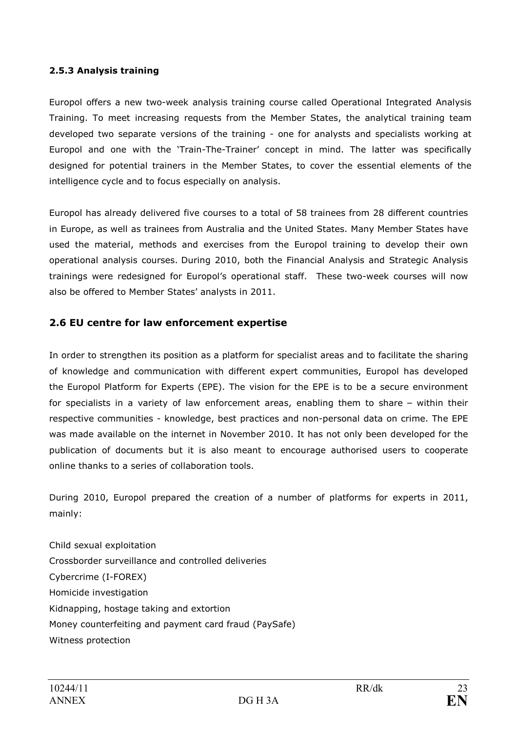### 2.5.3 Analysis training

Europol offers a new two-week analysis training course called Operational Integrated Analysis Training. To meet increasing requests from the Member States, the analytical training team developed two separate versions of the training - one for analysts and specialists working at Europol and one with the 'Train-The-Trainer' concept in mind. The latter was specifically designed for potential trainers in the Member States, to cover the essential elements of the intelligence cycle and to focus especially on analysis.

Europol has already delivered five courses to a total of 58 trainees from 28 different countries in Europe, as well as trainees from Australia and the United States. Many Member States have used the material, methods and exercises from the Europol training to develop their own operational analysis courses. During 2010, both the Financial Analysis and Strategic Analysis trainings were redesigned for Europol's operational staff. These two-week courses will now also be offered to Member States' analysts in 2011.

## 2.6 EU centre for law enforcement expertise

In order to strengthen its position as a platform for specialist areas and to facilitate the sharing of knowledge and communication with different expert communities, Europol has developed the Europol Platform for Experts (EPE). The vision for the EPE is to be a secure environment for specialists in a variety of law enforcement areas, enabling them to share – within their respective communities - knowledge, best practices and non-personal data on crime. The EPE was made available on the internet in November 2010. It has not only been developed for the publication of documents but it is also meant to encourage authorised users to cooperate online thanks to a series of collaboration tools.

During 2010, Europol prepared the creation of a number of platforms for experts in 2011, mainly:

Child sexual exploitation Crossborder surveillance and controlled deliveries Cybercrime (I-FOREX) Homicide investigation Kidnapping, hostage taking and extortion Money counterfeiting and payment card fraud (PaySafe) Witness protection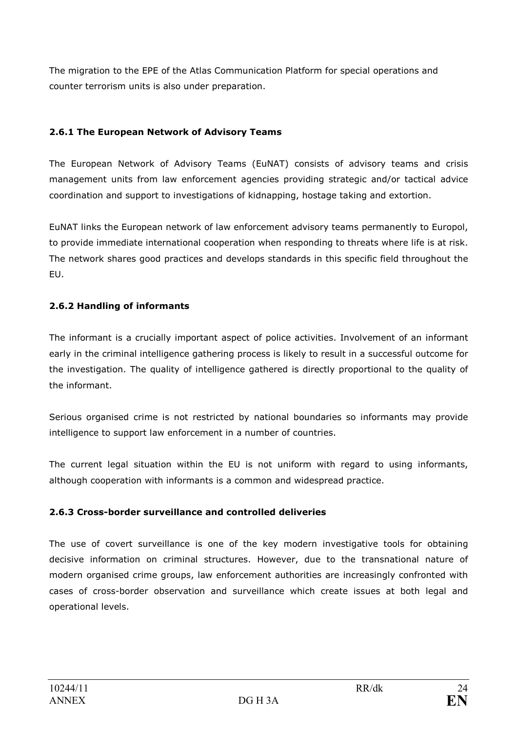The migration to the EPE of the Atlas Communication Platform for special operations and counter terrorism units is also under preparation.

## 2.6.1 The European Network of Advisory Teams

The European Network of Advisory Teams (EuNAT) consists of advisory teams and crisis management units from law enforcement agencies providing strategic and/or tactical advice coordination and support to investigations of kidnapping, hostage taking and extortion.

EuNAT links the European network of law enforcement advisory teams permanently to Europol, to provide immediate international cooperation when responding to threats where life is at risk. The network shares good practices and develops standards in this specific field throughout the EU.

## 2.6.2 Handling of informants

The informant is a crucially important aspect of police activities. Involvement of an informant early in the criminal intelligence gathering process is likely to result in a successful outcome for the investigation. The quality of intelligence gathered is directly proportional to the quality of the informant.

Serious organised crime is not restricted by national boundaries so informants may provide intelligence to support law enforcement in a number of countries.

The current legal situation within the EU is not uniform with regard to using informants, although cooperation with informants is a common and widespread practice.

### 2.6.3 Cross-border surveillance and controlled deliveries

The use of covert surveillance is one of the key modern investigative tools for obtaining decisive information on criminal structures. However, due to the transnational nature of modern organised crime groups, law enforcement authorities are increasingly confronted with cases of cross-border observation and surveillance which create issues at both legal and operational levels.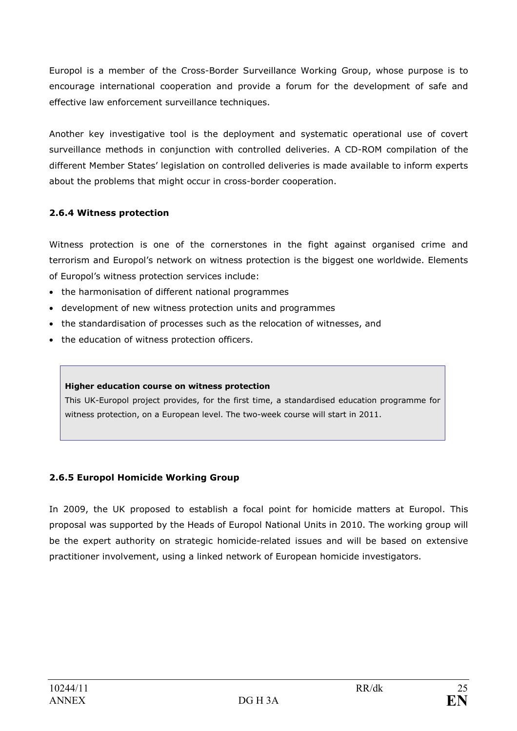Europol is a member of the Cross-Border Surveillance Working Group, whose purpose is to encourage international cooperation and provide a forum for the development of safe and effective law enforcement surveillance techniques.

Another key investigative tool is the deployment and systematic operational use of covert surveillance methods in conjunction with controlled deliveries. A CD-ROM compilation of the different Member States' legislation on controlled deliveries is made available to inform experts about the problems that might occur in cross-border cooperation.

## 2.6.4 Witness protection

Witness protection is one of the cornerstones in the fight against organised crime and terrorism and Europol's network on witness protection is the biggest one worldwide. Elements of Europol's witness protection services include:

- the harmonisation of different national programmes
- development of new witness protection units and programmes
- the standardisation of processes such as the relocation of witnesses, and
- the education of witness protection officers.

#### Higher education course on witness protection

This UK-Europol project provides, for the first time, a standardised education programme for witness protection, on a European level. The two-week course will start in 2011.

## 2.6.5 Europol Homicide Working Group

In 2009, the UK proposed to establish a focal point for homicide matters at Europol. This proposal was supported by the Heads of Europol National Units in 2010. The working group will be the expert authority on strategic homicide-related issues and will be based on extensive practitioner involvement, using a linked network of European homicide investigators.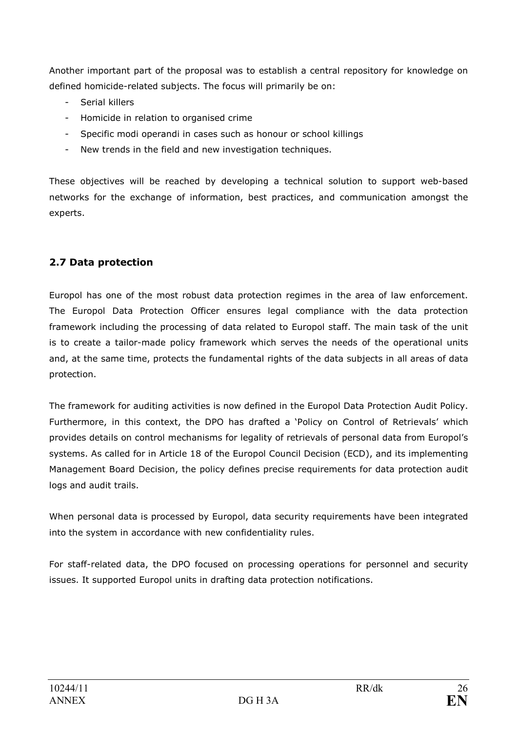Another important part of the proposal was to establish a central repository for knowledge on defined homicide-related subjects. The focus will primarily be on:

- Serial killers
- Homicide in relation to organised crime
- Specific modi operandi in cases such as honour or school killings
- New trends in the field and new investigation techniques.

These objectives will be reached by developing a technical solution to support web-based networks for the exchange of information, best practices, and communication amongst the experts.

## 2.7 Data protection

Europol has one of the most robust data protection regimes in the area of law enforcement. The Europol Data Protection Officer ensures legal compliance with the data protection framework including the processing of data related to Europol staff. The main task of the unit is to create a tailor-made policy framework which serves the needs of the operational units and, at the same time, protects the fundamental rights of the data subjects in all areas of data protection.

The framework for auditing activities is now defined in the Europol Data Protection Audit Policy. Furthermore, in this context, the DPO has drafted a 'Policy on Control of Retrievals' which provides details on control mechanisms for legality of retrievals of personal data from Europol's systems. As called for in Article 18 of the Europol Council Decision (ECD), and its implementing Management Board Decision, the policy defines precise requirements for data protection audit logs and audit trails.

When personal data is processed by Europol, data security requirements have been integrated into the system in accordance with new confidentiality rules.

For staff-related data, the DPO focused on processing operations for personnel and security issues. It supported Europol units in drafting data protection notifications.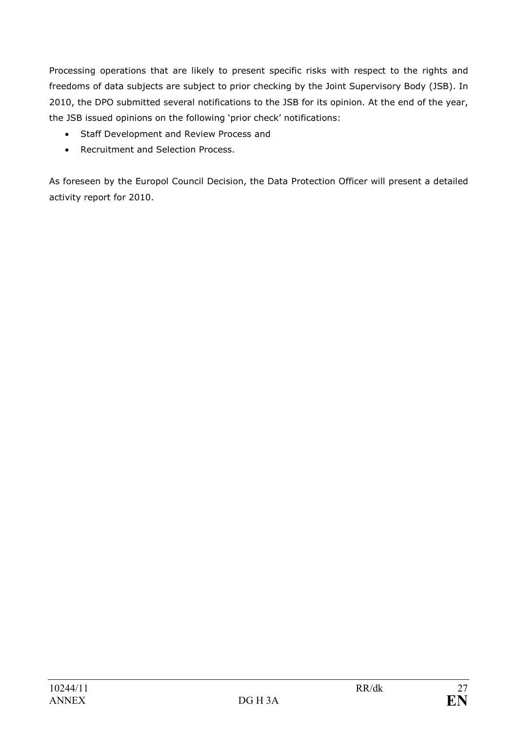Processing operations that are likely to present specific risks with respect to the rights and freedoms of data subjects are subject to prior checking by the Joint Supervisory Body (JSB). In 2010, the DPO submitted several notifications to the JSB for its opinion. At the end of the year, the JSB issued opinions on the following 'prior check' notifications:

- Staff Development and Review Process and
- Recruitment and Selection Process.

As foreseen by the Europol Council Decision, the Data Protection Officer will present a detailed activity report for 2010.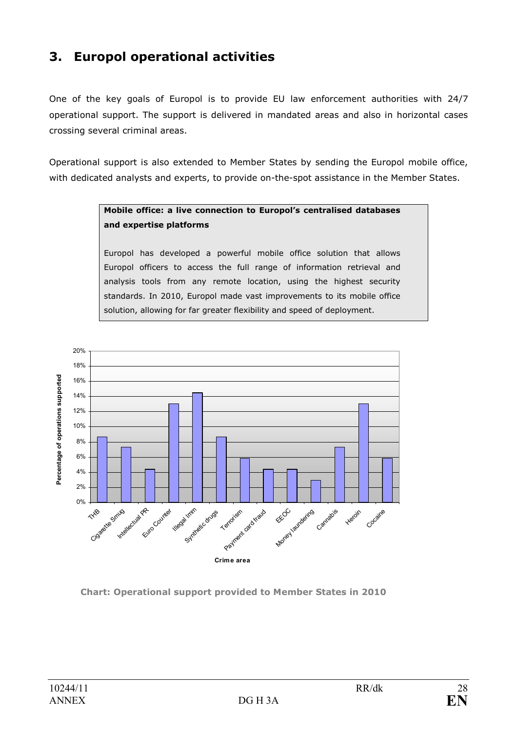# 3. Europol operational activities

One of the key goals of Europol is to provide EU law enforcement authorities with 24/7 operational support. The support is delivered in mandated areas and also in horizontal cases crossing several criminal areas.

Operational support is also extended to Member States by sending the Europol mobile office, with dedicated analysts and experts, to provide on-the-spot assistance in the Member States.

## Mobile office: a live connection to Europol's centralised databases and expertise platforms

Europol has developed a powerful mobile office solution that allows Europol officers to access the full range of information retrieval and analysis tools from any remote location, using the highest security standards. In 2010, Europol made vast improvements to its mobile office solution, allowing for far greater flexibility and speed of deployment.



Chart: Operational support provided to Member States in 2010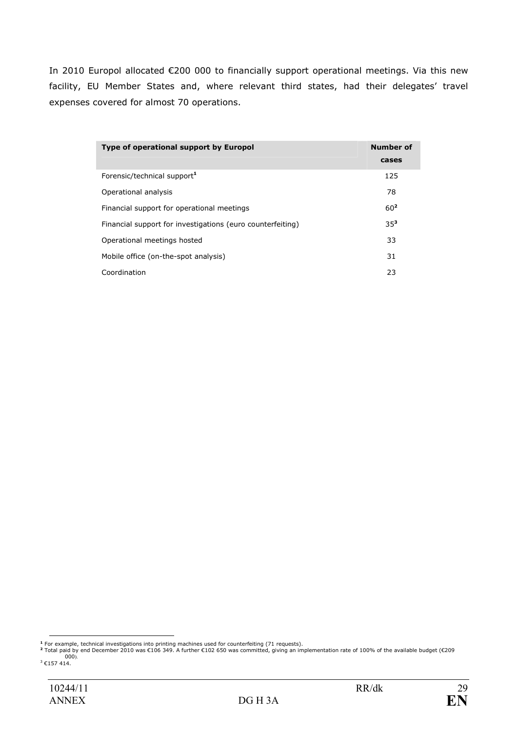In 2010 Europol allocated €200 000 to financially support operational meetings. Via this new facility, EU Member States and, where relevant third states, had their delegates' travel expenses covered for almost 70 operations.

| Type of operational support by Europol                     | Number of       |
|------------------------------------------------------------|-----------------|
|                                                            | cases           |
| Forensic/technical support <sup>1</sup>                    | 125             |
| Operational analysis                                       | 78              |
| Financial support for operational meetings                 | 60 <sup>2</sup> |
| Financial support for investigations (euro counterfeiting) | $35^{3}$        |
| Operational meetings hosted                                | 33              |
| Mobile office (on-the-spot analysis)                       | 31              |
| Coordination                                               | 23              |

<sup>-&</sup>lt;br>The example, technical investigations into printing machines used for counterfeiting (71 requests).<br>Total paid by end December 2010 was €106 349. A further €102 650 was committed, giving an implementation rate of 100% of 000). <sup>3</sup> €157 414.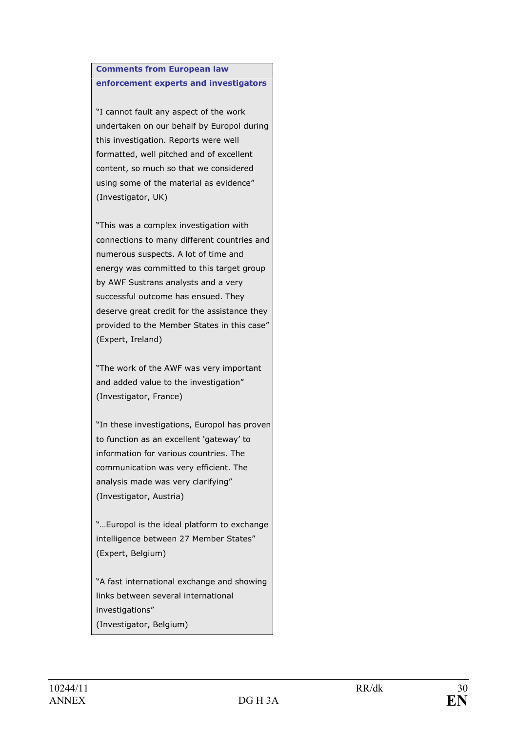### Comments from European law enforcement experts and investigators

"I cannot fault any aspect of the work undertaken on our behalf by Europol during this investigation. Reports were well formatted, well pitched and of excellent content, so much so that we considered using some of the material as evidence" (Investigator, UK)

"This was a complex investigation with connections to many different countries and numerous suspects. A lot of time and energy was committed to this target group by AWF Sustrans analysts and a very successful outcome has ensued. They deserve great credit for the assistance they provided to the Member States in this case" (Expert, Ireland)

"The work of the AWF was very important and added value to the investigation" (Investigator, France)

"In these investigations, Europol has proven to function as an excellent 'gateway' to information for various countries. The communication was very efficient. The analysis made was very clarifying" (Investigator, Austria)

"…Europol is the ideal platform to exchange intelligence between 27 Member States" (Expert, Belgium)

"A fast international exchange and showing links between several international investigations" (Investigator, Belgium)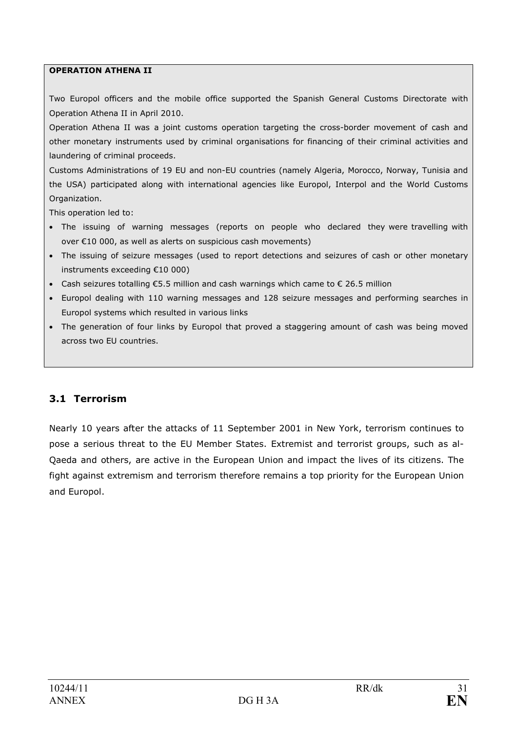#### OPERATION ATHENA II

Two Europol officers and the mobile office supported the Spanish General Customs Directorate with Operation Athena II in April 2010.

Operation Athena II was a joint customs operation targeting the cross-border movement of cash and other monetary instruments used by criminal organisations for financing of their criminal activities and laundering of criminal proceeds.

Customs Administrations of 19 EU and non-EU countries (namely Algeria, Morocco, Norway, Tunisia and the USA) participated along with international agencies like Europol, Interpol and the World Customs Organization.

This operation led to:

- The issuing of warning messages (reports on people who declared they were travelling with over €10 000, as well as alerts on suspicious cash movements)
- The issuing of seizure messages (used to report detections and seizures of cash or other monetary instruments exceeding €10 000)
- Cash seizures totalling  $\epsilon$ 5.5 million and cash warnings which came to  $\epsilon$  26.5 million
- Europol dealing with 110 warning messages and 128 seizure messages and performing searches in Europol systems which resulted in various links
- The generation of four links by Europol that proved a staggering amount of cash was being moved across two EU countries.

## 3.1 Terrorism

Nearly 10 years after the attacks of 11 September 2001 in New York, terrorism continues to pose a serious threat to the EU Member States. Extremist and terrorist groups, such as al-Qaeda and others, are active in the European Union and impact the lives of its citizens. The fight against extremism and terrorism therefore remains a top priority for the European Union and Europol.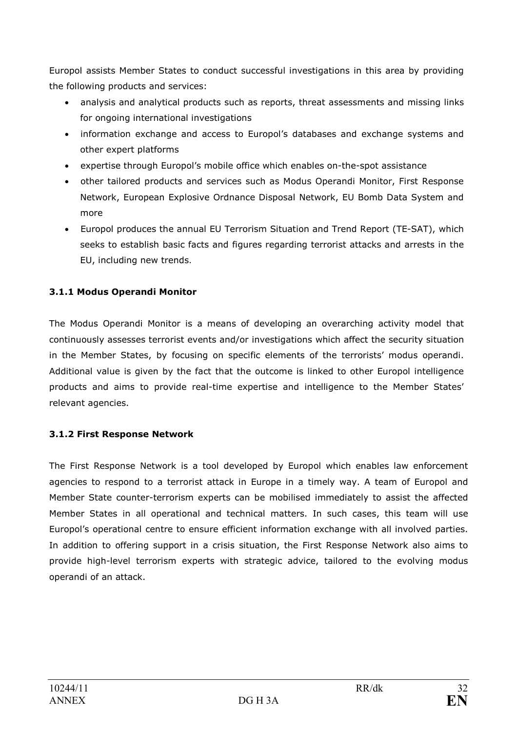Europol assists Member States to conduct successful investigations in this area by providing the following products and services:

- analysis and analytical products such as reports, threat assessments and missing links for ongoing international investigations
- information exchange and access to Europol's databases and exchange systems and other expert platforms
- expertise through Europol's mobile office which enables on-the-spot assistance
- other tailored products and services such as Modus Operandi Monitor, First Response Network, European Explosive Ordnance Disposal Network, EU Bomb Data System and more
- Europol produces the annual EU Terrorism Situation and Trend Report (TE-SAT), which seeks to establish basic facts and figures regarding terrorist attacks and arrests in the EU, including new trends.

## 3.1.1 Modus Operandi Monitor

The Modus Operandi Monitor is a means of developing an overarching activity model that continuously assesses terrorist events and/or investigations which affect the security situation in the Member States, by focusing on specific elements of the terrorists' modus operandi. Additional value is given by the fact that the outcome is linked to other Europol intelligence products and aims to provide real-time expertise and intelligence to the Member States' relevant agencies.

## 3.1.2 First Response Network

The First Response Network is a tool developed by Europol which enables law enforcement agencies to respond to a terrorist attack in Europe in a timely way. A team of Europol and Member State counter-terrorism experts can be mobilised immediately to assist the affected Member States in all operational and technical matters. In such cases, this team will use Europol's operational centre to ensure efficient information exchange with all involved parties. In addition to offering support in a crisis situation, the First Response Network also aims to provide high-level terrorism experts with strategic advice, tailored to the evolving modus operandi of an attack.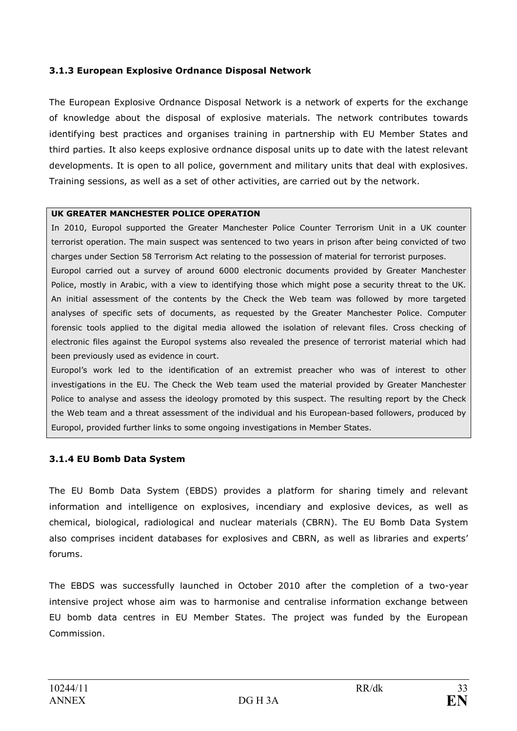### 3.1.3 European Explosive Ordnance Disposal Network

The European Explosive Ordnance Disposal Network is a network of experts for the exchange of knowledge about the disposal of explosive materials. The network contributes towards identifying best practices and organises training in partnership with EU Member States and third parties. It also keeps explosive ordnance disposal units up to date with the latest relevant developments. It is open to all police, government and military units that deal with explosives. Training sessions, as well as a set of other activities, are carried out by the network.

### UK GREATER MANCHESTER POLICE OPERATION

In 2010, Europol supported the Greater Manchester Police Counter Terrorism Unit in a UK counter terrorist operation. The main suspect was sentenced to two years in prison after being convicted of two charges under Section 58 Terrorism Act relating to the possession of material for terrorist purposes. Europol carried out a survey of around 6000 electronic documents provided by Greater Manchester Police, mostly in Arabic, with a view to identifying those which might pose a security threat to the UK. An initial assessment of the contents by the Check the Web team was followed by more targeted analyses of specific sets of documents, as requested by the Greater Manchester Police. Computer forensic tools applied to the digital media allowed the isolation of relevant files. Cross checking of electronic files against the Europol systems also revealed the presence of terrorist material which had been previously used as evidence in court.

Europol's work led to the identification of an extremist preacher who was of interest to other investigations in the EU. The Check the Web team used the material provided by Greater Manchester Police to analyse and assess the ideology promoted by this suspect. The resulting report by the Check the Web team and a threat assessment of the individual and his European-based followers, produced by Europol, provided further links to some ongoing investigations in Member States.

### 3.1.4 EU Bomb Data System

The EU Bomb Data System (EBDS) provides a platform for sharing timely and relevant information and intelligence on explosives, incendiary and explosive devices, as well as chemical, biological, radiological and nuclear materials (CBRN). The EU Bomb Data System also comprises incident databases for explosives and CBRN, as well as libraries and experts' forums.

The EBDS was successfully launched in October 2010 after the completion of a two-year intensive project whose aim was to harmonise and centralise information exchange between EU bomb data centres in EU Member States. The project was funded by the European Commission.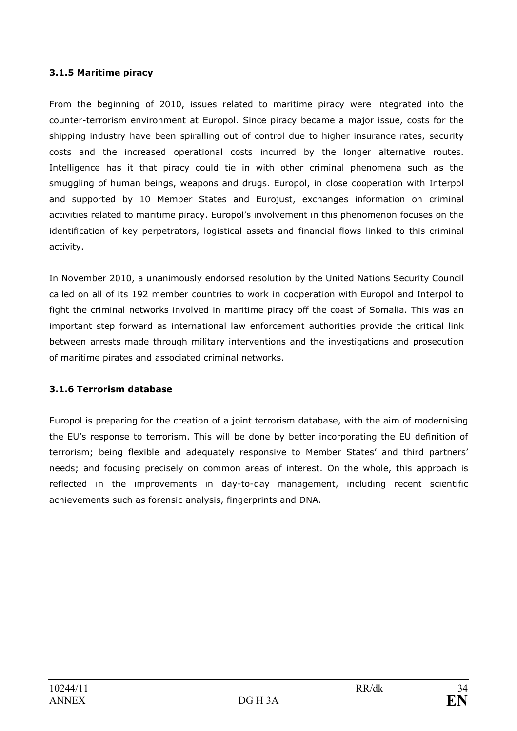### 3.1.5 Maritime piracy

From the beginning of 2010, issues related to maritime piracy were integrated into the counter-terrorism environment at Europol. Since piracy became a major issue, costs for the shipping industry have been spiralling out of control due to higher insurance rates, security costs and the increased operational costs incurred by the longer alternative routes. Intelligence has it that piracy could tie in with other criminal phenomena such as the smuggling of human beings, weapons and drugs. Europol, in close cooperation with Interpol and supported by 10 Member States and Eurojust, exchanges information on criminal activities related to maritime piracy. Europol's involvement in this phenomenon focuses on the identification of key perpetrators, logistical assets and financial flows linked to this criminal activity.

In November 2010, a unanimously endorsed resolution by the United Nations Security Council called on all of its 192 member countries to work in cooperation with Europol and Interpol to fight the criminal networks involved in maritime piracy off the coast of Somalia. This was an important step forward as international law enforcement authorities provide the critical link between arrests made through military interventions and the investigations and prosecution of maritime pirates and associated criminal networks.

## 3.1.6 Terrorism database

Europol is preparing for the creation of a joint terrorism database, with the aim of modernising the EU's response to terrorism. This will be done by better incorporating the EU definition of terrorism; being flexible and adequately responsive to Member States' and third partners' needs; and focusing precisely on common areas of interest. On the whole, this approach is reflected in the improvements in day-to-day management, including recent scientific achievements such as forensic analysis, fingerprints and DNA.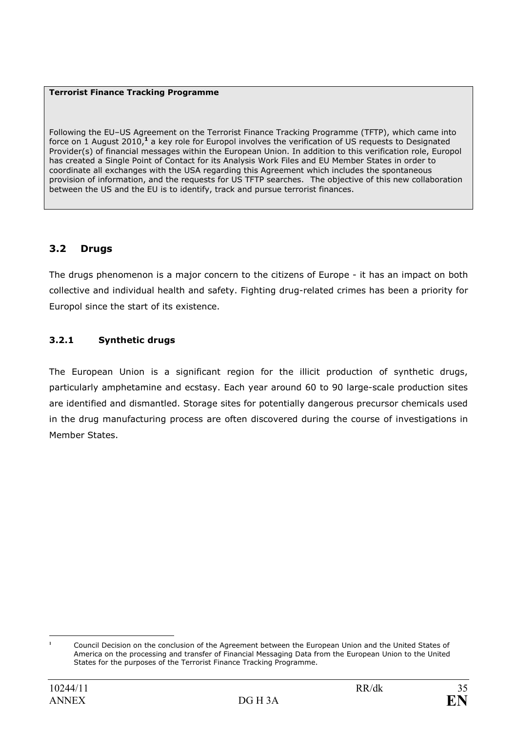#### Terrorist Finance Tracking Programme

Following the EU–US Agreement on the Terrorist Finance Tracking Programme (TFTP), which came into force on 1 August 2010,<sup>1</sup> a key role for Europol involves the verification of US requests to Designated Provider(s) of financial messages within the European Union. In addition to this verification role, Europol has created a Single Point of Contact for its Analysis Work Files and EU Member States in order to coordinate all exchanges with the USA regarding this Agreement which includes the spontaneous provision of information, and the requests for US TFTP searches. The objective of this new collaboration between the US and the EU is to identify, track and pursue terrorist finances.

## 3.2 Drugs

The drugs phenomenon is a major concern to the citizens of Europe - it has an impact on both collective and individual health and safety. Fighting drug-related crimes has been a priority for Europol since the start of its existence.

## 3.2.1 Synthetic drugs

The European Union is a significant region for the illicit production of synthetic drugs, particularly amphetamine and ecstasy. Each year around 60 to 90 large-scale production sites are identified and dismantled. Storage sites for potentially dangerous precursor chemicals used in the drug manufacturing process are often discovered during the course of investigations in Member States.

 $\overline{a}$ Council Decision on the conclusion of the Agreement between the European Union and the United States of America on the processing and transfer of Financial Messaging Data from the European Union to the United States for the purposes of the Terrorist Finance Tracking Programme.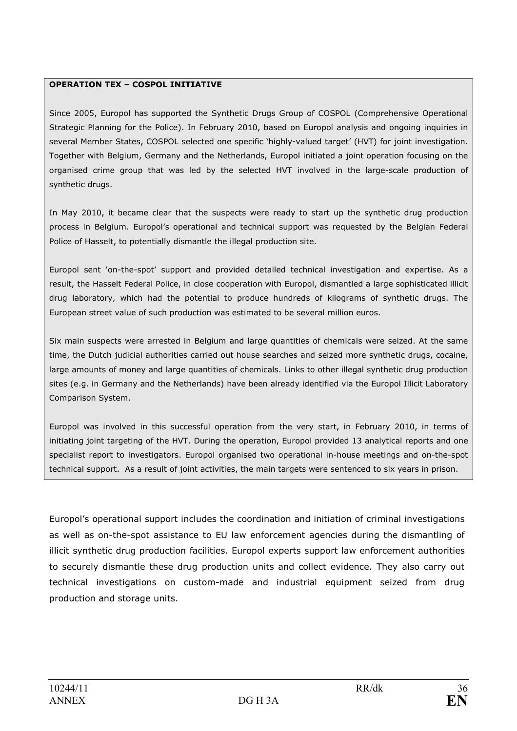### OPERATION TEX – COSPOL INITIATIVE

Since 2005, Europol has supported the Synthetic Drugs Group of COSPOL (Comprehensive Operational Strategic Planning for the Police). In February 2010, based on Europol analysis and ongoing inquiries in several Member States, COSPOL selected one specific 'highly-valued target' (HVT) for joint investigation. Together with Belgium, Germany and the Netherlands, Europol initiated a joint operation focusing on the organised crime group that was led by the selected HVT involved in the large-scale production of synthetic drugs.

In May 2010, it became clear that the suspects were ready to start up the synthetic drug production process in Belgium. Europol's operational and technical support was requested by the Belgian Federal Police of Hasselt, to potentially dismantle the illegal production site.

Europol sent 'on-the-spot' support and provided detailed technical investigation and expertise. As a result, the Hasselt Federal Police, in close cooperation with Europol, dismantled a large sophisticated illicit drug laboratory, which had the potential to produce hundreds of kilograms of synthetic drugs. The European street value of such production was estimated to be several million euros.

Six main suspects were arrested in Belgium and large quantities of chemicals were seized. At the same time, the Dutch judicial authorities carried out house searches and seized more synthetic drugs, cocaine, large amounts of money and large quantities of chemicals. Links to other illegal synthetic drug production sites (e.g. in Germany and the Netherlands) have been already identified via the Europol Illicit Laboratory Comparison System.

Europol was involved in this successful operation from the very start, in February 2010, in terms of initiating joint targeting of the HVT. During the operation, Europol provided 13 analytical reports and one specialist report to investigators. Europol organised two operational in-house meetings and on-the-spot technical support. As a result of joint activities, the main targets were sentenced to six years in prison.

Europol's operational support includes the coordination and initiation of criminal investigations as well as on-the-spot assistance to EU law enforcement agencies during the dismantling of illicit synthetic drug production facilities. Europol experts support law enforcement authorities to securely dismantle these drug production units and collect evidence. They also carry out technical investigations on custom-made and industrial equipment seized from drug production and storage units.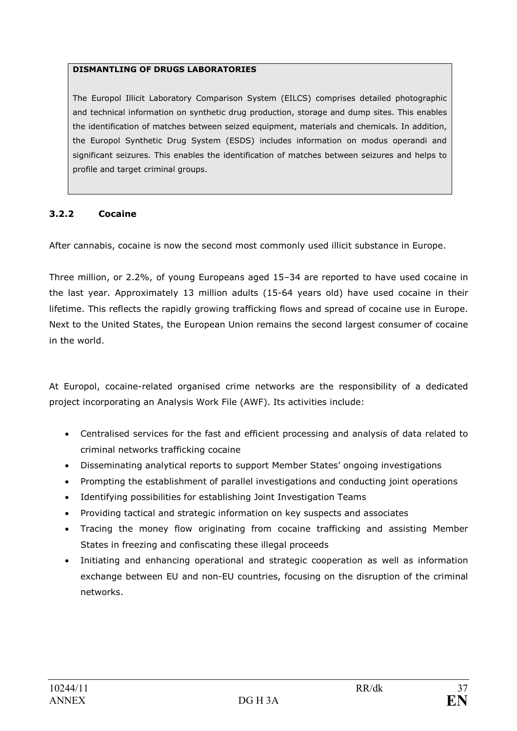### DISMANTLING OF DRUGS LABORATORIES

The Europol Illicit Laboratory Comparison System (EILCS) comprises detailed photographic and technical information on synthetic drug production, storage and dump sites. This enables the identification of matches between seized equipment, materials and chemicals. In addition, the Europol Synthetic Drug System (ESDS) includes information on modus operandi and significant seizures. This enables the identification of matches between seizures and helps to profile and target criminal groups.

### 3.2.2 Cocaine

After cannabis, cocaine is now the second most commonly used illicit substance in Europe.

Three million, or 2.2%, of young Europeans aged 15–34 are reported to have used cocaine in the last year. Approximately 13 million adults (15-64 years old) have used cocaine in their lifetime. This reflects the rapidly growing trafficking flows and spread of cocaine use in Europe. Next to the United States, the European Union remains the second largest consumer of cocaine in the world.

At Europol, cocaine-related organised crime networks are the responsibility of a dedicated project incorporating an Analysis Work File (AWF). Its activities include:

- Centralised services for the fast and efficient processing and analysis of data related to criminal networks trafficking cocaine
- Disseminating analytical reports to support Member States' ongoing investigations
- Prompting the establishment of parallel investigations and conducting joint operations
- Identifying possibilities for establishing Joint Investigation Teams
- Providing tactical and strategic information on key suspects and associates
- Tracing the money flow originating from cocaine trafficking and assisting Member States in freezing and confiscating these illegal proceeds
- Initiating and enhancing operational and strategic cooperation as well as information exchange between EU and non-EU countries, focusing on the disruption of the criminal networks.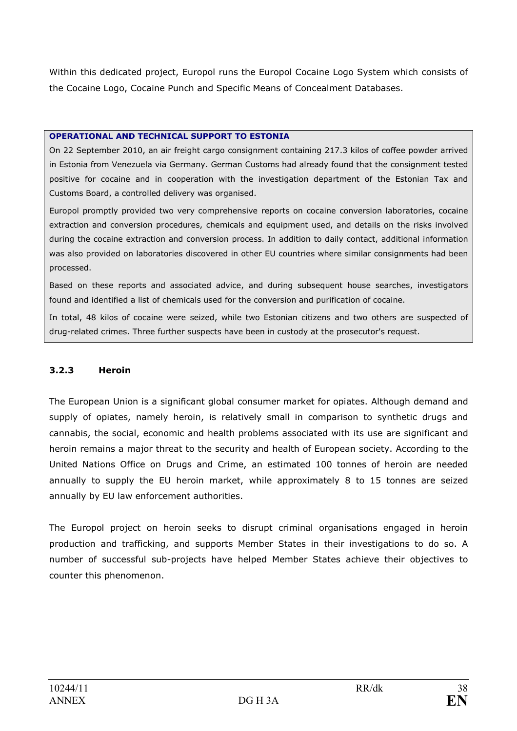Within this dedicated project, Europol runs the Europol Cocaine Logo System which consists of the Cocaine Logo, Cocaine Punch and Specific Means of Concealment Databases.

#### OPERATIONAL AND TECHNICAL SUPPORT TO ESTONIA

On 22 September 2010, an air freight cargo consignment containing 217.3 kilos of coffee powder arrived in Estonia from Venezuela via Germany. German Customs had already found that the consignment tested positive for cocaine and in cooperation with the investigation department of the Estonian Tax and Customs Board, a controlled delivery was organised.

Europol promptly provided two very comprehensive reports on cocaine conversion laboratories, cocaine extraction and conversion procedures, chemicals and equipment used, and details on the risks involved during the cocaine extraction and conversion process. In addition to daily contact, additional information was also provided on laboratories discovered in other EU countries where similar consignments had been processed.

Based on these reports and associated advice, and during subsequent house searches, investigators found and identified a list of chemicals used for the conversion and purification of cocaine.

In total, 48 kilos of cocaine were seized, while two Estonian citizens and two others are suspected of drug-related crimes. Three further suspects have been in custody at the prosecutor's request.

### 3.2.3 Heroin

The European Union is a significant global consumer market for opiates. Although demand and supply of opiates, namely heroin, is relatively small in comparison to synthetic drugs and cannabis, the social, economic and health problems associated with its use are significant and heroin remains a major threat to the security and health of European society. According to the United Nations Office on Drugs and Crime, an estimated 100 tonnes of heroin are needed annually to supply the EU heroin market, while approximately 8 to 15 tonnes are seized annually by EU law enforcement authorities.

The Europol project on heroin seeks to disrupt criminal organisations engaged in heroin production and trafficking, and supports Member States in their investigations to do so. A number of successful sub-projects have helped Member States achieve their objectives to counter this phenomenon.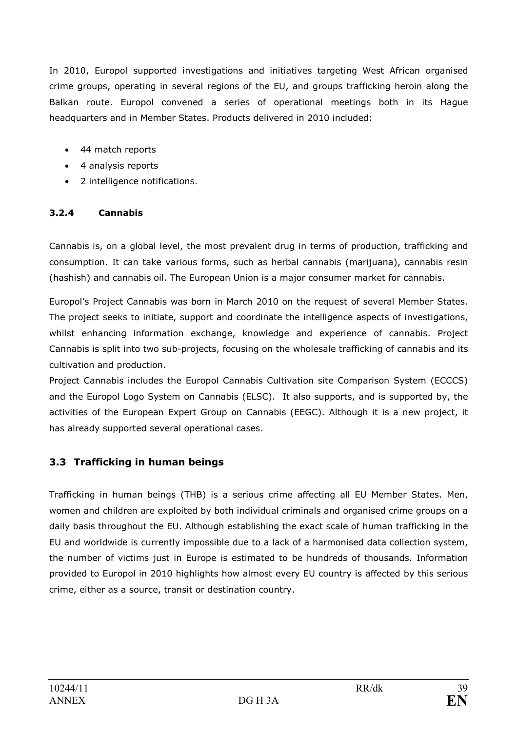In 2010, Europol supported investigations and initiatives targeting West African organised crime groups, operating in several regions of the EU, and groups trafficking heroin along the Balkan route. Europol convened a series of operational meetings both in its Hague headquarters and in Member States. Products delivered in 2010 included:

- 44 match reports
- 4 analysis reports
- 2 intelligence notifications.

## 3.2.4 Cannabis

Cannabis is, on a global level, the most prevalent drug in terms of production, trafficking and consumption. It can take various forms, such as herbal cannabis (marijuana), cannabis resin (hashish) and cannabis oil. The European Union is a major consumer market for cannabis.

Europol's Project Cannabis was born in March 2010 on the request of several Member States. The project seeks to initiate, support and coordinate the intelligence aspects of investigations, whilst enhancing information exchange, knowledge and experience of cannabis. Project Cannabis is split into two sub-projects, focusing on the wholesale trafficking of cannabis and its cultivation and production.

Project Cannabis includes the Europol Cannabis Cultivation site Comparison System (ECCCS) and the Europol Logo System on Cannabis (ELSC). It also supports, and is supported by, the activities of the European Expert Group on Cannabis (EEGC). Although it is a new project, it has already supported several operational cases.

## 3.3 Trafficking in human beings

Trafficking in human beings (THB) is a serious crime affecting all EU Member States. Men, women and children are exploited by both individual criminals and organised crime groups on a daily basis throughout the EU. Although establishing the exact scale of human trafficking in the EU and worldwide is currently impossible due to a lack of a harmonised data collection system, the number of victims just in Europe is estimated to be hundreds of thousands. Information provided to Europol in 2010 highlights how almost every EU country is affected by this serious crime, either as a source, transit or destination country.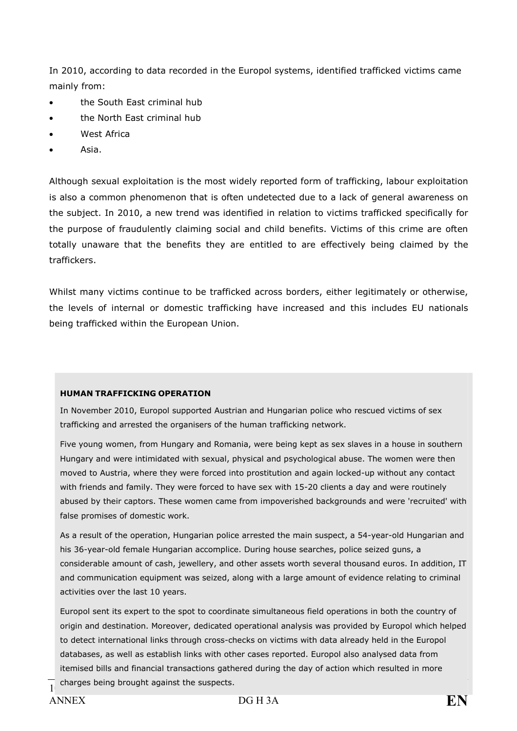In 2010, according to data recorded in the Europol systems, identified trafficked victims came mainly from:

- the South East criminal hub
- the North East criminal hub
- West Africa
- Asia.

Although sexual exploitation is the most widely reported form of trafficking, labour exploitation is also a common phenomenon that is often undetected due to a lack of general awareness on the subject. In 2010, a new trend was identified in relation to victims trafficked specifically for the purpose of fraudulently claiming social and child benefits. Victims of this crime are often totally unaware that the benefits they are entitled to are effectively being claimed by the traffickers.

Whilst many victims continue to be trafficked across borders, either legitimately or otherwise, the levels of internal or domestic trafficking have increased and this includes EU nationals being trafficked within the European Union.

#### HUMAN TRAFFICKING OPERATION

In November 2010, Europol supported Austrian and Hungarian police who rescued victims of sex trafficking and arrested the organisers of the human trafficking network.

Five young women, from Hungary and Romania, were being kept as sex slaves in a house in southern Hungary and were intimidated with sexual, physical and psychological abuse. The women were then moved to Austria, where they were forced into prostitution and again locked-up without any contact with friends and family. They were forced to have sex with 15-20 clients a day and were routinely abused by their captors. These women came from impoverished backgrounds and were 'recruited' with false promises of domestic work.

As a result of the operation, Hungarian police arrested the main suspect, a 54-year-old Hungarian and his 36-year-old female Hungarian accomplice. During house searches, police seized guns, a considerable amount of cash, jewellery, and other assets worth several thousand euros. In addition, IT and communication equipment was seized, along with a large amount of evidence relating to criminal activities over the last 10 years.

Europol sent its expert to the spot to coordinate simultaneous field operations in both the country of origin and destination. Moreover, dedicated operational analysis was provided by Europol which helped to detect international links through cross-checks on victims with data already held in the Europol databases, as well as establish links with other cases reported. Europol also analysed data from itemised bills and financial transactions gathered during the day of action which resulted in more

 $\overline{1}$  charges being brought against the suspects. The suspect of the suspect of the suspect of the suspect of the suspect of the suspect of the suspect of the suspect of the suspect of the suspect of the suspect of the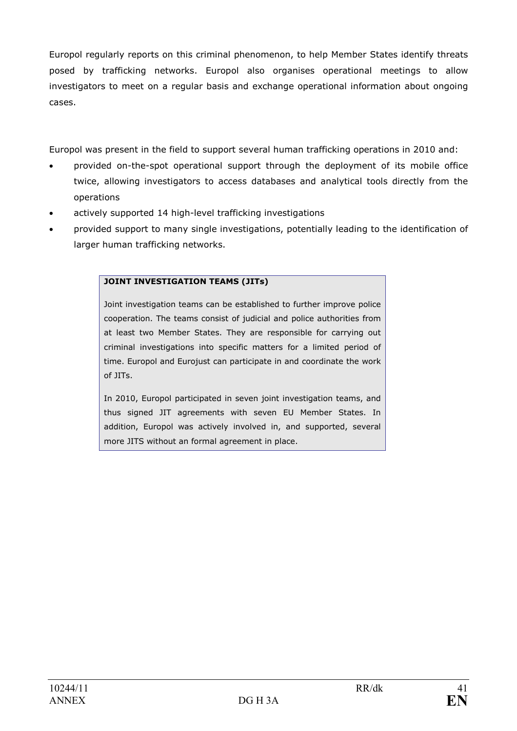Europol regularly reports on this criminal phenomenon, to help Member States identify threats posed by trafficking networks. Europol also organises operational meetings to allow investigators to meet on a regular basis and exchange operational information about ongoing cases.

Europol was present in the field to support several human trafficking operations in 2010 and:

- provided on-the-spot operational support through the deployment of its mobile office twice, allowing investigators to access databases and analytical tools directly from the operations
- actively supported 14 high-level trafficking investigations
- provided support to many single investigations, potentially leading to the identification of larger human trafficking networks.

## JOINT INVESTIGATION TEAMS (JITs)

Joint investigation teams can be established to further improve police cooperation. The teams consist of judicial and police authorities from at least two Member States. They are responsible for carrying out criminal investigations into specific matters for a limited period of time. Europol and Eurojust can participate in and coordinate the work of JITs.

In 2010, Europol participated in seven joint investigation teams, and thus signed JIT agreements with seven EU Member States. In addition, Europol was actively involved in, and supported, several more JITS without an formal agreement in place.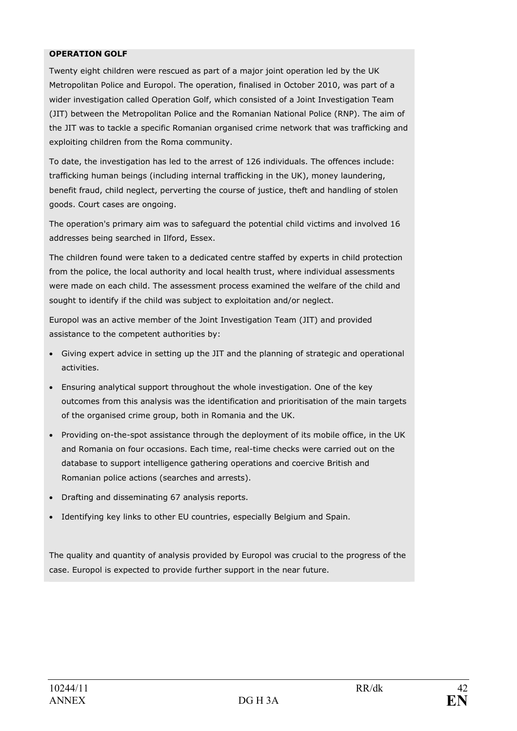#### OPERATION GOLF

Twenty eight children were rescued as part of a major joint operation led by the UK Metropolitan Police and Europol. The operation, finalised in October 2010, was part of a wider investigation called Operation Golf, which consisted of a Joint Investigation Team (JIT) between the Metropolitan Police and the Romanian National Police (RNP). The aim of the JIT was to tackle a specific Romanian organised crime network that was trafficking and exploiting children from the Roma community.

To date, the investigation has led to the arrest of 126 individuals. The offences include: trafficking human beings (including internal trafficking in the UK), money laundering, benefit fraud, child neglect, perverting the course of justice, theft and handling of stolen goods. Court cases are ongoing.

The operation's primary aim was to safeguard the potential child victims and involved 16 addresses being searched in Ilford, Essex.

The children found were taken to a dedicated centre staffed by experts in child protection from the police, the local authority and local health trust, where individual assessments were made on each child. The assessment process examined the welfare of the child and sought to identify if the child was subject to exploitation and/or neglect.

Europol was an active member of the Joint Investigation Team (JIT) and provided assistance to the competent authorities by:

- Giving expert advice in setting up the JIT and the planning of strategic and operational activities.
- Ensuring analytical support throughout the whole investigation. One of the key outcomes from this analysis was the identification and prioritisation of the main targets of the organised crime group, both in Romania and the UK.
- Providing on-the-spot assistance through the deployment of its mobile office, in the UK and Romania on four occasions. Each time, real-time checks were carried out on the database to support intelligence gathering operations and coercive British and Romanian police actions (searches and arrests).
- Drafting and disseminating 67 analysis reports.
- Identifying key links to other EU countries, especially Belgium and Spain.

The quality and quantity of analysis provided by Europol was crucial to the progress of the case. Europol is expected to provide further support in the near future.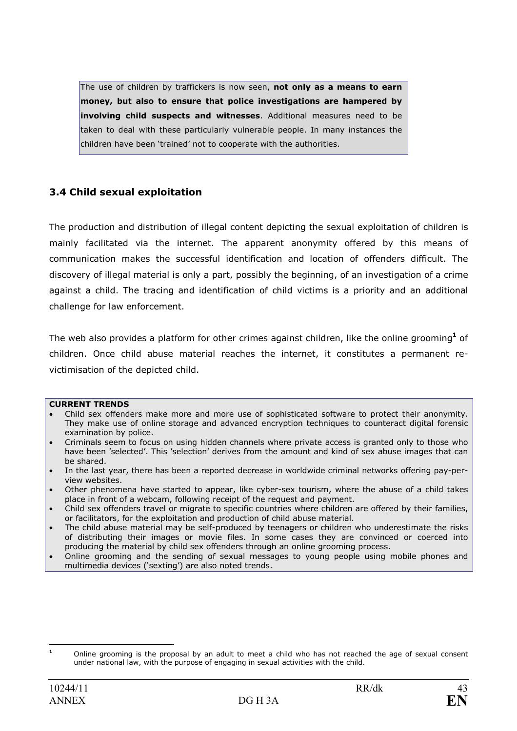The use of children by traffickers is now seen, not only as a means to earn money, but also to ensure that police investigations are hampered by involving child suspects and witnesses. Additional measures need to be taken to deal with these particularly vulnerable people. In many instances the children have been 'trained' not to cooperate with the authorities.

## 3.4 Child sexual exploitation

The production and distribution of illegal content depicting the sexual exploitation of children is mainly facilitated via the internet. The apparent anonymity offered by this means of communication makes the successful identification and location of offenders difficult. The discovery of illegal material is only a part, possibly the beginning, of an investigation of a crime against a child. The tracing and identification of child victims is a priority and an additional challenge for law enforcement.

The web also provides a platform for other crimes against children, like the online grooming<sup>1</sup> of children. Once child abuse material reaches the internet, it constitutes a permanent revictimisation of the depicted child.

#### CURRENT TRENDS

- Child sex offenders make more and more use of sophisticated software to protect their anonymity. They make use of online storage and advanced encryption techniques to counteract digital forensic examination by police.
- Criminals seem to focus on using hidden channels where private access is granted only to those who have been 'selected'. This 'selection' derives from the amount and kind of sex abuse images that can be shared.
- In the last year, there has been a reported decrease in worldwide criminal networks offering pay-perview websites.
- Other phenomena have started to appear, like cyber-sex tourism, where the abuse of a child takes place in front of a webcam, following receipt of the request and payment.
- Child sex offenders travel or migrate to specific countries where children are offered by their families, or facilitators, for the exploitation and production of child abuse material.
- The child abuse material may be self-produced by teenagers or children who underestimate the risks of distributing their images or movie files. In some cases they are convinced or coerced into producing the material by child sex offenders through an online grooming process.
- Online grooming and the sending of sexual messages to young people using mobile phones and multimedia devices ('sexting') are also noted trends.

 $\mathbf{1}$ <sup>1</sup> Online grooming is the proposal by an adult to meet a child who has not reached the age of sexual consent under national law, with the purpose of engaging in sexual activities with the child.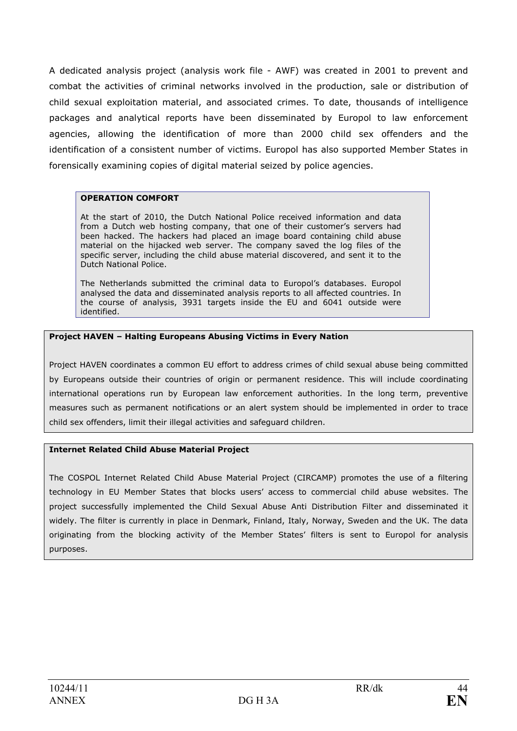A dedicated analysis project (analysis work file - AWF) was created in 2001 to prevent and combat the activities of criminal networks involved in the production, sale or distribution of child sexual exploitation material, and associated crimes. To date, thousands of intelligence packages and analytical reports have been disseminated by Europol to law enforcement agencies, allowing the identification of more than 2000 child sex offenders and the identification of a consistent number of victims. Europol has also supported Member States in forensically examining copies of digital material seized by police agencies.

#### OPERATION COMFORT

At the start of 2010, the Dutch National Police received information and data from a Dutch web hosting company, that one of their customer's servers had been hacked. The hackers had placed an image board containing child abuse material on the hijacked web server. The company saved the log files of the specific server, including the child abuse material discovered, and sent it to the Dutch National Police.

The Netherlands submitted the criminal data to Europol's databases. Europol analysed the data and disseminated analysis reports to all affected countries. In the course of analysis, 3931 targets inside the EU and 6041 outside were identified.

#### Project HAVEN – Halting Europeans Abusing Victims in Every Nation

Project HAVEN coordinates a common EU effort to address crimes of child sexual abuse being committed by Europeans outside their countries of origin or permanent residence. This will include coordinating international operations run by European law enforcement authorities. In the long term, preventive measures such as permanent notifications or an alert system should be implemented in order to trace child sex offenders, limit their illegal activities and safeguard children.

#### Internet Related Child Abuse Material Project

The COSPOL Internet Related Child Abuse Material Project (CIRCAMP) promotes the use of a filtering technology in EU Member States that blocks users' access to commercial child abuse websites. The project successfully implemented the Child Sexual Abuse Anti Distribution Filter and disseminated it widely. The filter is currently in place in Denmark, Finland, Italy, Norway, Sweden and the UK. The data originating from the blocking activity of the Member States' filters is sent to Europol for analysis purposes.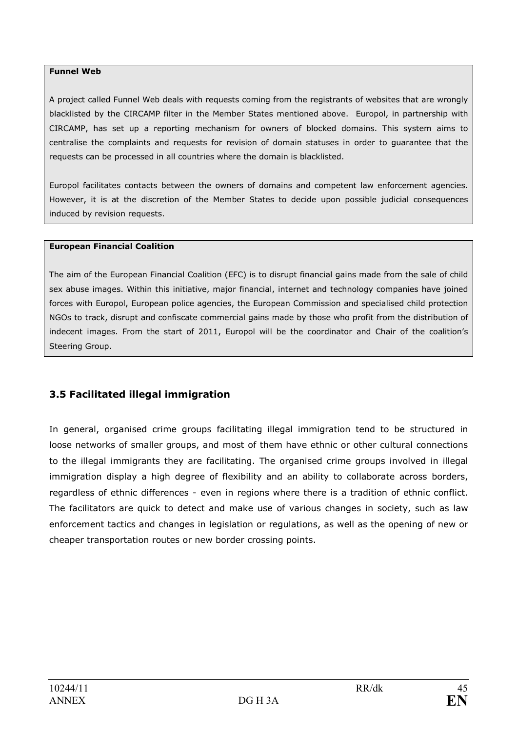#### Funnel Web

A project called Funnel Web deals with requests coming from the registrants of websites that are wrongly blacklisted by the CIRCAMP filter in the Member States mentioned above. Europol, in partnership with CIRCAMP, has set up a reporting mechanism for owners of blocked domains. This system aims to centralise the complaints and requests for revision of domain statuses in order to guarantee that the requests can be processed in all countries where the domain is blacklisted.

Europol facilitates contacts between the owners of domains and competent law enforcement agencies. However, it is at the discretion of the Member States to decide upon possible judicial consequences induced by revision requests.

#### European Financial Coalition

The aim of the European Financial Coalition (EFC) is to disrupt financial gains made from the sale of child sex abuse images. Within this initiative, major financial, internet and technology companies have joined forces with Europol, European police agencies, the European Commission and specialised child protection NGOs to track, disrupt and confiscate commercial gains made by those who profit from the distribution of indecent images. From the start of 2011, Europol will be the coordinator and Chair of the coalition's Steering Group.

## 3.5 Facilitated illegal immigration

In general, organised crime groups facilitating illegal immigration tend to be structured in loose networks of smaller groups, and most of them have ethnic or other cultural connections to the illegal immigrants they are facilitating. The organised crime groups involved in illegal immigration display a high degree of flexibility and an ability to collaborate across borders, regardless of ethnic differences - even in regions where there is a tradition of ethnic conflict. The facilitators are quick to detect and make use of various changes in society, such as law enforcement tactics and changes in legislation or regulations, as well as the opening of new or cheaper transportation routes or new border crossing points.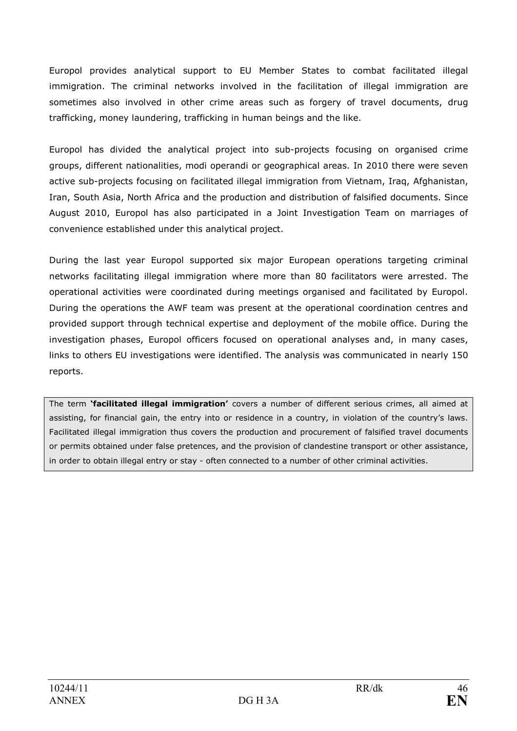Europol provides analytical support to EU Member States to combat facilitated illegal immigration. The criminal networks involved in the facilitation of illegal immigration are sometimes also involved in other crime areas such as forgery of travel documents, drug trafficking, money laundering, trafficking in human beings and the like.

Europol has divided the analytical project into sub-projects focusing on organised crime groups, different nationalities, modi operandi or geographical areas. In 2010 there were seven active sub-projects focusing on facilitated illegal immigration from Vietnam, Iraq, Afghanistan, Iran, South Asia, North Africa and the production and distribution of falsified documents. Since August 2010, Europol has also participated in a Joint Investigation Team on marriages of convenience established under this analytical project.

During the last year Europol supported six major European operations targeting criminal networks facilitating illegal immigration where more than 80 facilitators were arrested. The operational activities were coordinated during meetings organised and facilitated by Europol. During the operations the AWF team was present at the operational coordination centres and provided support through technical expertise and deployment of the mobile office. During the investigation phases, Europol officers focused on operational analyses and, in many cases, links to others EU investigations were identified. The analysis was communicated in nearly 150 reports.

The term 'facilitated illegal immigration' covers a number of different serious crimes, all aimed at assisting, for financial gain, the entry into or residence in a country, in violation of the country's laws. Facilitated illegal immigration thus covers the production and procurement of falsified travel documents or permits obtained under false pretences, and the provision of clandestine transport or other assistance, in order to obtain illegal entry or stay - often connected to a number of other criminal activities.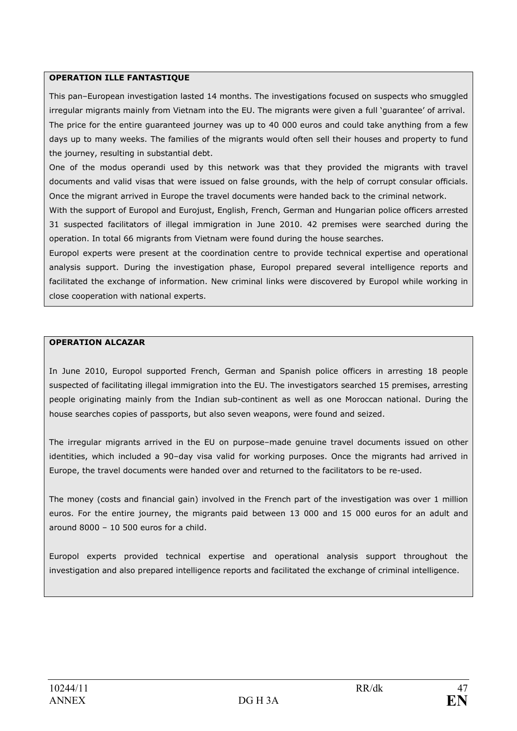#### OPERATION ILLE FANTASTIQUE

This pan–European investigation lasted 14 months. The investigations focused on suspects who smuggled irregular migrants mainly from Vietnam into the EU. The migrants were given a full 'guarantee' of arrival. The price for the entire guaranteed journey was up to 40 000 euros and could take anything from a few days up to many weeks. The families of the migrants would often sell their houses and property to fund the journey, resulting in substantial debt.

One of the modus operandi used by this network was that they provided the migrants with travel documents and valid visas that were issued on false grounds, with the help of corrupt consular officials. Once the migrant arrived in Europe the travel documents were handed back to the criminal network.

With the support of Europol and Eurojust, English, French, German and Hungarian police officers arrested 31 suspected facilitators of illegal immigration in June 2010. 42 premises were searched during the operation. In total 66 migrants from Vietnam were found during the house searches.

Europol experts were present at the coordination centre to provide technical expertise and operational analysis support. During the investigation phase, Europol prepared several intelligence reports and facilitated the exchange of information. New criminal links were discovered by Europol while working in close cooperation with national experts.

#### OPERATION ALCAZAR

In June 2010, Europol supported French, German and Spanish police officers in arresting 18 people suspected of facilitating illegal immigration into the EU. The investigators searched 15 premises, arresting people originating mainly from the Indian sub-continent as well as one Moroccan national. During the house searches copies of passports, but also seven weapons, were found and seized.

The irregular migrants arrived in the EU on purpose–made genuine travel documents issued on other identities, which included a 90–day visa valid for working purposes. Once the migrants had arrived in Europe, the travel documents were handed over and returned to the facilitators to be re-used.

The money (costs and financial gain) involved in the French part of the investigation was over 1 million euros. For the entire journey, the migrants paid between 13 000 and 15 000 euros for an adult and around 8000 – 10 500 euros for a child.

Europol experts provided technical expertise and operational analysis support throughout the investigation and also prepared intelligence reports and facilitated the exchange of criminal intelligence.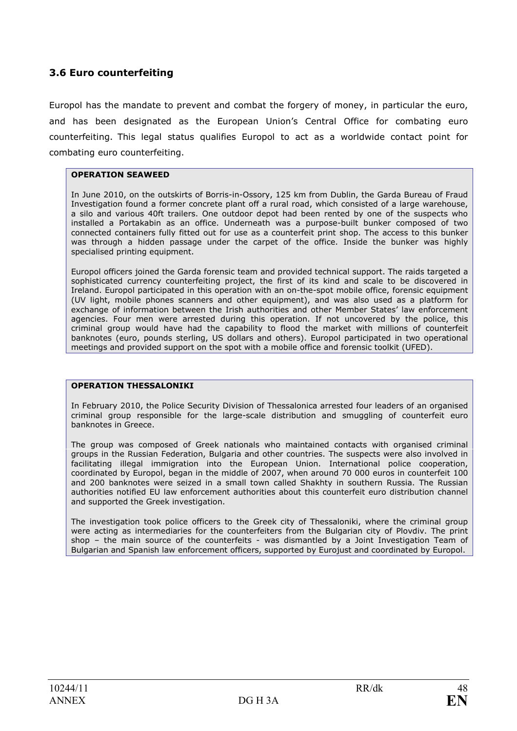## 3.6 Euro counterfeiting

Europol has the mandate to prevent and combat the forgery of money, in particular the euro, and has been designated as the European Union's Central Office for combating euro counterfeiting. This legal status qualifies Europol to act as a worldwide contact point for combating euro counterfeiting.

#### OPERATION SEAWEED

In June 2010, on the outskirts of Borris-in-Ossory, 125 km from Dublin, the Garda Bureau of Fraud Investigation found a former concrete plant off a rural road, which consisted of a large warehouse, a silo and various 40ft trailers. One outdoor depot had been rented by one of the suspects who installed a Portakabin as an office. Underneath was a purpose-built bunker composed of two connected containers fully fitted out for use as a counterfeit print shop. The access to this bunker was through a hidden passage under the carpet of the office. Inside the bunker was highly specialised printing equipment.

Europol officers joined the Garda forensic team and provided technical support. The raids targeted a sophisticated currency counterfeiting project, the first of its kind and scale to be discovered in Ireland. Europol participated in this operation with an on-the-spot mobile office, forensic equipment (UV light, mobile phones scanners and other equipment), and was also used as a platform for exchange of information between the Irish authorities and other Member States' law enforcement agencies. Four men were arrested during this operation. If not uncovered by the police, this criminal group would have had the capability to flood the market with millions of counterfeit banknotes (euro, pounds sterling, US dollars and others). Europol participated in two operational meetings and provided support on the spot with a mobile office and forensic toolkit (UFED).

#### OPERATION THESSALONIKI

In February 2010, the Police Security Division of Thessalonica arrested four leaders of an organised criminal group responsible for the large-scale distribution and smuggling of counterfeit euro banknotes in Greece.

The group was composed of Greek nationals who maintained contacts with organised criminal groups in the Russian Federation, Bulgaria and other countries. The suspects were also involved in facilitating illegal immigration into the European Union. International police cooperation, coordinated by Europol, began in the middle of 2007, when around 70 000 euros in counterfeit 100 and 200 banknotes were seized in a small town called Shakhty in southern Russia. The Russian authorities notified EU law enforcement authorities about this counterfeit euro distribution channel and supported the Greek investigation.

The investigation took police officers to the Greek city of Thessaloniki, where the criminal group were acting as intermediaries for the counterfeiters from the Bulgarian city of Plovdiv. The print shop – the main source of the counterfeits - was dismantled by a Joint Investigation Team of Bulgarian and Spanish law enforcement officers, supported by Eurojust and coordinated by Europol.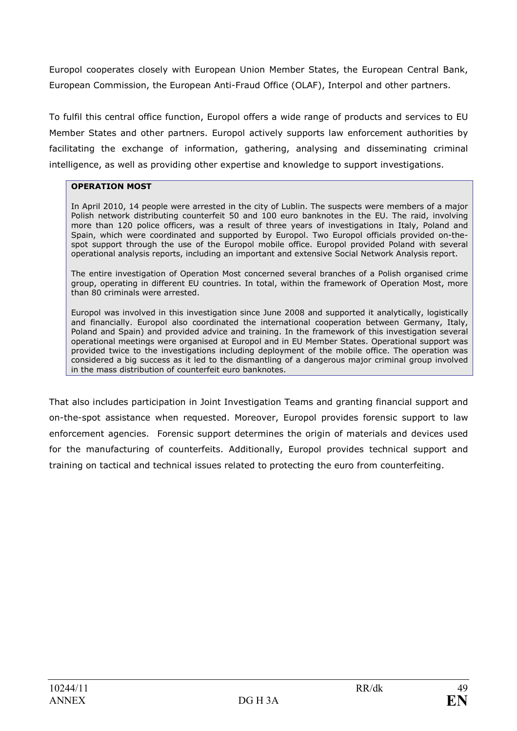Europol cooperates closely with European Union Member States, the European Central Bank, European Commission, the European Anti-Fraud Office (OLAF), Interpol and other partners.

To fulfil this central office function, Europol offers a wide range of products and services to EU Member States and other partners. Europol actively supports law enforcement authorities by facilitating the exchange of information, gathering, analysing and disseminating criminal intelligence, as well as providing other expertise and knowledge to support investigations.

### OPERATION MOST

In April 2010, 14 people were arrested in the city of Lublin. The suspects were members of a major Polish network distributing counterfeit 50 and 100 euro banknotes in the EU. The raid, involving more than 120 police officers, was a result of three years of investigations in Italy, Poland and Spain, which were coordinated and supported by Europol. Two Europol officials provided on-thespot support through the use of the Europol mobile office. Europol provided Poland with several operational analysis reports, including an important and extensive Social Network Analysis report.

The entire investigation of Operation Most concerned several branches of a Polish organised crime group, operating in different EU countries. In total, within the framework of Operation Most, more than 80 criminals were arrested.

Europol was involved in this investigation since June 2008 and supported it analytically, logistically and financially. Europol also coordinated the international cooperation between Germany, Italy, Poland and Spain) and provided advice and training. In the framework of this investigation several operational meetings were organised at Europol and in EU Member States. Operational support was provided twice to the investigations including deployment of the mobile office. The operation was considered a big success as it led to the dismantling of a dangerous major criminal group involved in the mass distribution of counterfeit euro banknotes.

That also includes participation in Joint Investigation Teams and granting financial support and on-the-spot assistance when requested. Moreover, Europol provides forensic support to law enforcement agencies. Forensic support determines the origin of materials and devices used for the manufacturing of counterfeits. Additionally, Europol provides technical support and training on tactical and technical issues related to protecting the euro from counterfeiting.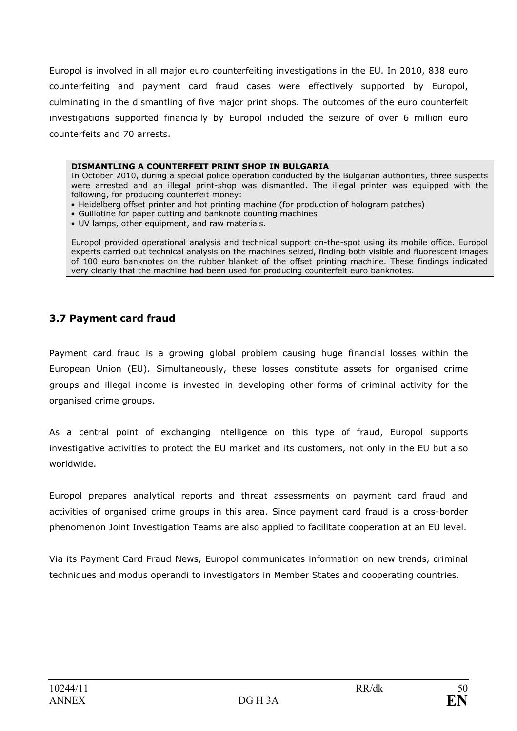Europol is involved in all major euro counterfeiting investigations in the EU. In 2010, 838 euro counterfeiting and payment card fraud cases were effectively supported by Europol, culminating in the dismantling of five major print shops. The outcomes of the euro counterfeit investigations supported financially by Europol included the seizure of over 6 million euro counterfeits and 70 arrests.

#### DISMANTLING A COUNTERFEIT PRINT SHOP IN BULGARIA

In October 2010, during a special police operation conducted by the Bulgarian authorities, three suspects were arrested and an illegal print-shop was dismantled. The illegal printer was equipped with the following, for producing counterfeit money:

- Heidelberg offset printer and hot printing machine (for production of hologram patches)
- Guillotine for paper cutting and banknote counting machines
- UV lamps, other equipment, and raw materials.

Europol provided operational analysis and technical support on-the-spot using its mobile office. Europol experts carried out technical analysis on the machines seized, finding both visible and fluorescent images of 100 euro banknotes on the rubber blanket of the offset printing machine. These findings indicated very clearly that the machine had been used for producing counterfeit euro banknotes.

## 3.7 Payment card fraud

Payment card fraud is a growing global problem causing huge financial losses within the European Union (EU). Simultaneously, these losses constitute assets for organised crime groups and illegal income is invested in developing other forms of criminal activity for the organised crime groups.

As a central point of exchanging intelligence on this type of fraud, Europol supports investigative activities to protect the EU market and its customers, not only in the EU but also worldwide.

Europol prepares analytical reports and threat assessments on payment card fraud and activities of organised crime groups in this area. Since payment card fraud is a cross-border phenomenon Joint Investigation Teams are also applied to facilitate cooperation at an EU level.

Via its Payment Card Fraud News, Europol communicates information on new trends, criminal techniques and modus operandi to investigators in Member States and cooperating countries.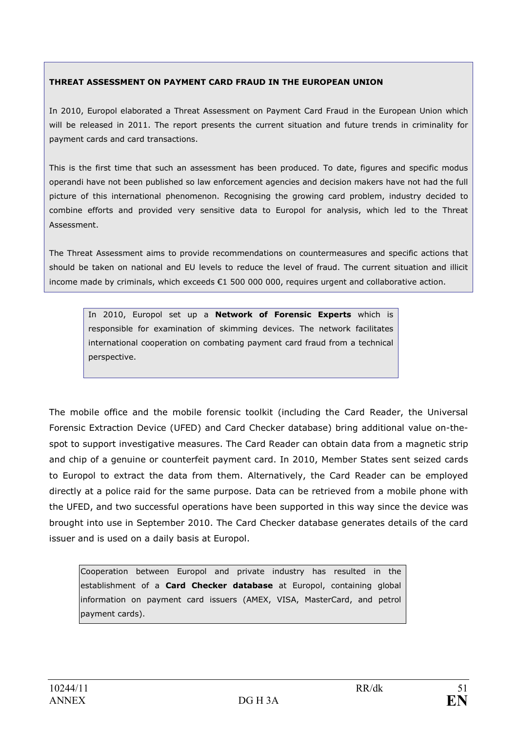### THREAT ASSESSMENT ON PAYMENT CARD FRAUD IN THE EUROPEAN UNION

In 2010, Europol elaborated a Threat Assessment on Payment Card Fraud in the European Union which will be released in 2011. The report presents the current situation and future trends in criminality for payment cards and card transactions.

This is the first time that such an assessment has been produced. To date, figures and specific modus operandi have not been published so law enforcement agencies and decision makers have not had the full picture of this international phenomenon. Recognising the growing card problem, industry decided to combine efforts and provided very sensitive data to Europol for analysis, which led to the Threat Assessment.

The Threat Assessment aims to provide recommendations on countermeasures and specific actions that should be taken on national and EU levels to reduce the level of fraud. The current situation and illicit income made by criminals, which exceeds €1 500 000 000, requires urgent and collaborative action.

In 2010, Europol set up a Network of Forensic Experts which is responsible for examination of skimming devices. The network facilitates international cooperation on combating payment card fraud from a technical perspective.

The mobile office and the mobile forensic toolkit (including the Card Reader, the Universal Forensic Extraction Device (UFED) and Card Checker database) bring additional value on-thespot to support investigative measures. The Card Reader can obtain data from a magnetic strip and chip of a genuine or counterfeit payment card. In 2010, Member States sent seized cards to Europol to extract the data from them. Alternatively, the Card Reader can be employed directly at a police raid for the same purpose. Data can be retrieved from a mobile phone with the UFED, and two successful operations have been supported in this way since the device was brought into use in September 2010. The Card Checker database generates details of the card issuer and is used on a daily basis at Europol.

Cooperation between Europol and private industry has resulted in the establishment of a **Card Checker database** at Europol, containing global information on payment card issuers (AMEX, VISA, MasterCard, and petrol payment cards).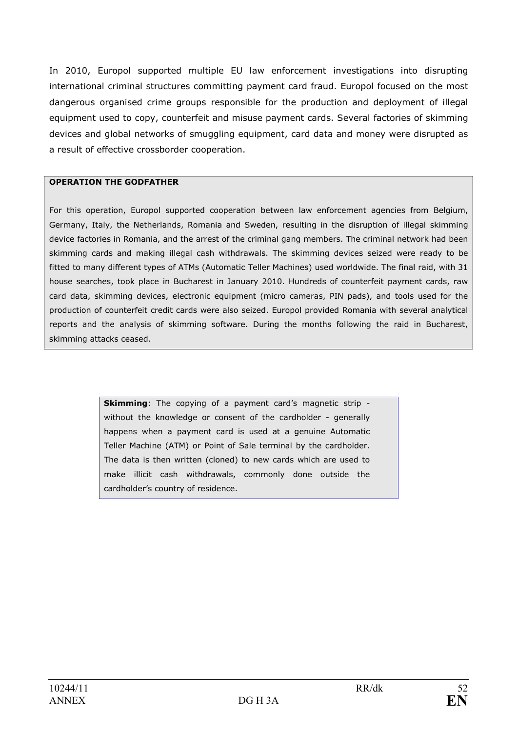In 2010, Europol supported multiple EU law enforcement investigations into disrupting international criminal structures committing payment card fraud. Europol focused on the most dangerous organised crime groups responsible for the production and deployment of illegal equipment used to copy, counterfeit and misuse payment cards. Several factories of skimming devices and global networks of smuggling equipment, card data and money were disrupted as a result of effective crossborder cooperation.

### OPERATION THE GODFATHER

For this operation, Europol supported cooperation between law enforcement agencies from Belgium, Germany, Italy, the Netherlands, Romania and Sweden, resulting in the disruption of illegal skimming device factories in Romania, and the arrest of the criminal gang members. The criminal network had been skimming cards and making illegal cash withdrawals. The skimming devices seized were ready to be fitted to many different types of ATMs (Automatic Teller Machines) used worldwide. The final raid, with 31 house searches, took place in Bucharest in January 2010. Hundreds of counterfeit payment cards, raw card data, skimming devices, electronic equipment (micro cameras, PIN pads), and tools used for the production of counterfeit credit cards were also seized. Europol provided Romania with several analytical reports and the analysis of skimming software. During the months following the raid in Bucharest, skimming attacks ceased.

> Skimming: The copying of a payment card's magnetic strip without the knowledge or consent of the cardholder - generally happens when a payment card is used at a genuine Automatic Teller Machine (ATM) or Point of Sale terminal by the cardholder. The data is then written (cloned) to new cards which are used to make illicit cash withdrawals, commonly done outside the cardholder's country of residence.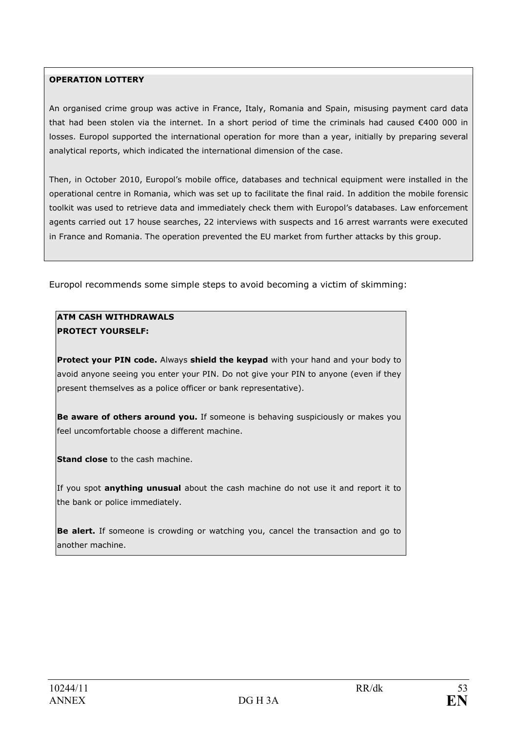### OPERATION LOTTERY

An organised crime group was active in France, Italy, Romania and Spain, misusing payment card data that had been stolen via the internet. In a short period of time the criminals had caused €400 000 in losses. Europol supported the international operation for more than a year, initially by preparing several analytical reports, which indicated the international dimension of the case.

Then, in October 2010, Europol's mobile office, databases and technical equipment were installed in the operational centre in Romania, which was set up to facilitate the final raid. In addition the mobile forensic toolkit was used to retrieve data and immediately check them with Europol's databases. Law enforcement agents carried out 17 house searches, 22 interviews with suspects and 16 arrest warrants were executed in France and Romania. The operation prevented the EU market from further attacks by this group.

Europol recommends some simple steps to avoid becoming a victim of skimming:

### ATM CASH WITHDRAWALS PROTECT YOURSELF:

Protect your PIN code. Always shield the keypad with your hand and your body to avoid anyone seeing you enter your PIN. Do not give your PIN to anyone (even if they present themselves as a police officer or bank representative).

Be aware of others around you. If someone is behaving suspiciously or makes you feel uncomfortable choose a different machine.

Stand close to the cash machine.

If you spot anything unusual about the cash machine do not use it and report it to the bank or police immediately.

Be alert. If someone is crowding or watching you, cancel the transaction and go to another machine.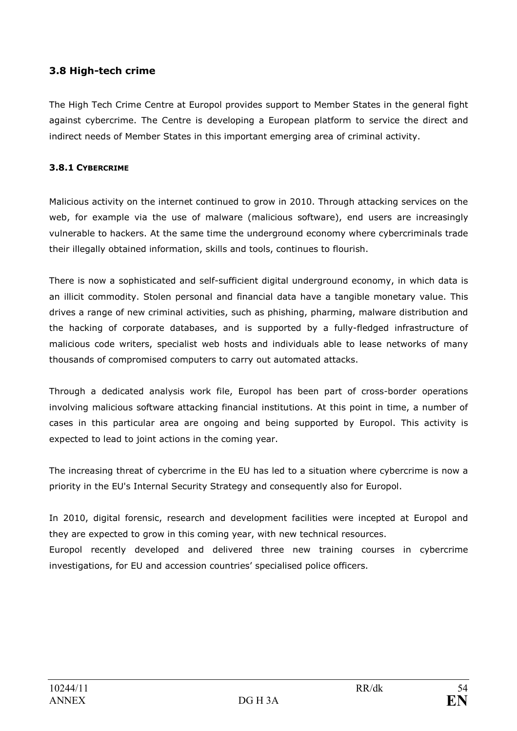## 3.8 High-tech crime

The High Tech Crime Centre at Europol provides support to Member States in the general fight against cybercrime. The Centre is developing a European platform to service the direct and indirect needs of Member States in this important emerging area of criminal activity.

## 3.8.1 CYBERCRIME

Malicious activity on the internet continued to grow in 2010. Through attacking services on the web, for example via the use of malware (malicious software), end users are increasingly vulnerable to hackers. At the same time the underground economy where cybercriminals trade their illegally obtained information, skills and tools, continues to flourish.

There is now a sophisticated and self-sufficient digital underground economy, in which data is an illicit commodity. Stolen personal and financial data have a tangible monetary value. This drives a range of new criminal activities, such as phishing, pharming, malware distribution and the hacking of corporate databases, and is supported by a fully-fledged infrastructure of malicious code writers, specialist web hosts and individuals able to lease networks of many thousands of compromised computers to carry out automated attacks.

Through a dedicated analysis work file, Europol has been part of cross-border operations involving malicious software attacking financial institutions. At this point in time, a number of cases in this particular area are ongoing and being supported by Europol. This activity is expected to lead to joint actions in the coming year.

The increasing threat of cybercrime in the EU has led to a situation where cybercrime is now a priority in the EU's Internal Security Strategy and consequently also for Europol.

In 2010, digital forensic, research and development facilities were incepted at Europol and they are expected to grow in this coming year, with new technical resources. Europol recently developed and delivered three new training courses in cybercrime investigations, for EU and accession countries' specialised police officers.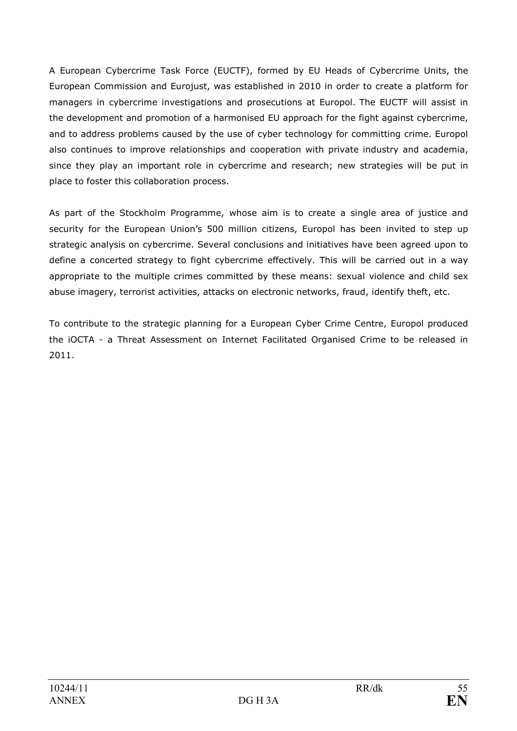A European Cybercrime Task Force (EUCTF), formed by EU Heads of Cybercrime Units, the European Commission and Eurojust, was established in 2010 in order to create a platform for managers in cybercrime investigations and prosecutions at Europol. The EUCTF will assist in the development and promotion of a harmonised EU approach for the fight against cybercrime, and to address problems caused by the use of cyber technology for committing crime. Europol also continues to improve relationships and cooperation with private industry and academia, since they play an important role in cybercrime and research; new strategies will be put in place to foster this collaboration process.

As part of the Stockholm Programme, whose aim is to create a single area of justice and security for the European Union's 500 million citizens, Europol has been invited to step up strategic analysis on cybercrime. Several conclusions and initiatives have been agreed upon to define a concerted strategy to fight cybercrime effectively. This will be carried out in a way appropriate to the multiple crimes committed by these means: sexual violence and child sex abuse imagery, terrorist activities, attacks on electronic networks, fraud, identify theft, etc.

To contribute to the strategic planning for a European Cyber Crime Centre, Europol produced the iOCTA - a Threat Assessment on Internet Facilitated Organised Crime to be released in 2011.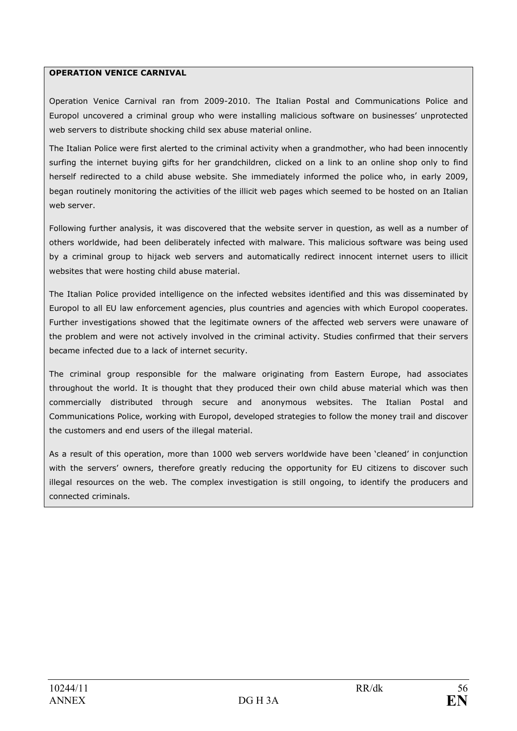#### OPERATION VENICE CARNIVAL

Operation Venice Carnival ran from 2009-2010. The Italian Postal and Communications Police and Europol uncovered a criminal group who were installing malicious software on businesses' unprotected web servers to distribute shocking child sex abuse material online.

The Italian Police were first alerted to the criminal activity when a grandmother, who had been innocently surfing the internet buying gifts for her grandchildren, clicked on a link to an online shop only to find herself redirected to a child abuse website. She immediately informed the police who, in early 2009, began routinely monitoring the activities of the illicit web pages which seemed to be hosted on an Italian web server.

Following further analysis, it was discovered that the website server in question, as well as a number of others worldwide, had been deliberately infected with malware. This malicious software was being used by a criminal group to hijack web servers and automatically redirect innocent internet users to illicit websites that were hosting child abuse material.

The Italian Police provided intelligence on the infected websites identified and this was disseminated by Europol to all EU law enforcement agencies, plus countries and agencies with which Europol cooperates. Further investigations showed that the legitimate owners of the affected web servers were unaware of the problem and were not actively involved in the criminal activity. Studies confirmed that their servers became infected due to a lack of internet security.

The criminal group responsible for the malware originating from Eastern Europe, had associates throughout the world. It is thought that they produced their own child abuse material which was then commercially distributed through secure and anonymous websites. The Italian Postal and Communications Police, working with Europol, developed strategies to follow the money trail and discover the customers and end users of the illegal material.

As a result of this operation, more than 1000 web servers worldwide have been 'cleaned' in conjunction with the servers' owners, therefore greatly reducing the opportunity for EU citizens to discover such illegal resources on the web. The complex investigation is still ongoing, to identify the producers and connected criminals.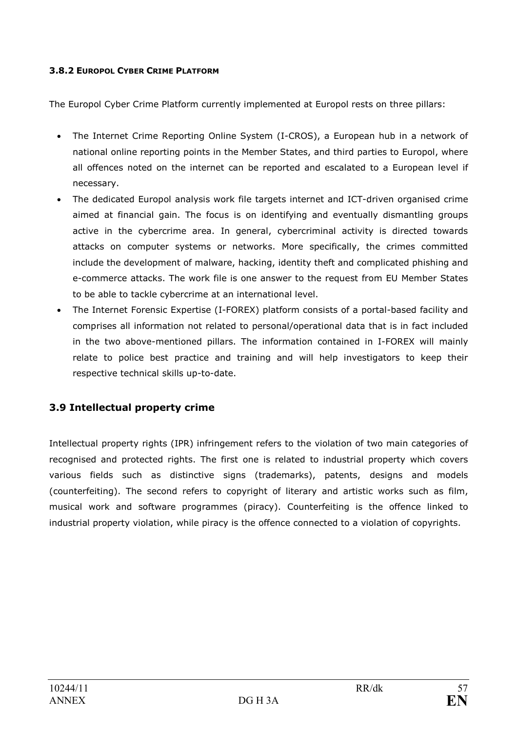## 3.8.2 EUROPOL CYBER CRIME PLATFORM

The Europol Cyber Crime Platform currently implemented at Europol rests on three pillars:

- The Internet Crime Reporting Online System (I-CROS), a European hub in a network of national online reporting points in the Member States, and third parties to Europol, where all offences noted on the internet can be reported and escalated to a European level if necessary.
- The dedicated Europol analysis work file targets internet and ICT-driven organised crime aimed at financial gain. The focus is on identifying and eventually dismantling groups active in the cybercrime area. In general, cybercriminal activity is directed towards attacks on computer systems or networks. More specifically, the crimes committed include the development of malware, hacking, identity theft and complicated phishing and e-commerce attacks. The work file is one answer to the request from EU Member States to be able to tackle cybercrime at an international level.
- The Internet Forensic Expertise (I-FOREX) platform consists of a portal-based facility and comprises all information not related to personal/operational data that is in fact included in the two above-mentioned pillars. The information contained in I-FOREX will mainly relate to police best practice and training and will help investigators to keep their respective technical skills up-to-date.

## 3.9 Intellectual property crime

Intellectual property rights (IPR) infringement refers to the violation of two main categories of recognised and protected rights. The first one is related to industrial property which covers various fields such as distinctive signs (trademarks), patents, designs and models (counterfeiting). The second refers to copyright of literary and artistic works such as film, musical work and software programmes (piracy). Counterfeiting is the offence linked to industrial property violation, while piracy is the offence connected to a violation of copyrights.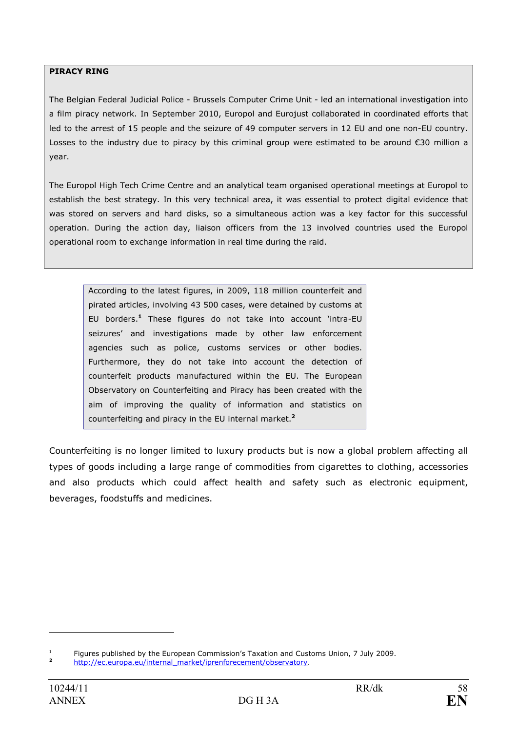#### PIRACY RING

The Belgian Federal Judicial Police - Brussels Computer Crime Unit - led an international investigation into a film piracy network. In September 2010, Europol and Eurojust collaborated in coordinated efforts that led to the arrest of 15 people and the seizure of 49 computer servers in 12 EU and one non-EU country. Losses to the industry due to piracy by this criminal group were estimated to be around €30 million a year.

The Europol High Tech Crime Centre and an analytical team organised operational meetings at Europol to establish the best strategy. In this very technical area, it was essential to protect digital evidence that was stored on servers and hard disks, so a simultaneous action was a key factor for this successful operation. During the action day, liaison officers from the 13 involved countries used the Europol operational room to exchange information in real time during the raid.

According to the latest figures, in 2009, 118 million counterfeit and pirated articles, involving 43 500 cases, were detained by customs at EU borders.<sup>1</sup> These figures do not take into account 'intra-EU seizures' and investigations made by other law enforcement agencies such as police, customs services or other bodies. Furthermore, they do not take into account the detection of counterfeit products manufactured within the EU. The European Observatory on Counterfeiting and Piracy has been created with the aim of improving the quality of information and statistics on counterfeiting and piracy in the EU internal market.<sup>2</sup>

Counterfeiting is no longer limited to luxury products but is now a global problem affecting all types of goods including a large range of commodities from cigarettes to clothing, accessories and also products which could affect health and safety such as electronic equipment, beverages, foodstuffs and medicines.

 $\overline{a}$ 

<sup>1</sup> Figures published by the European Commission's Taxation and Customs Union, 7 July 2009.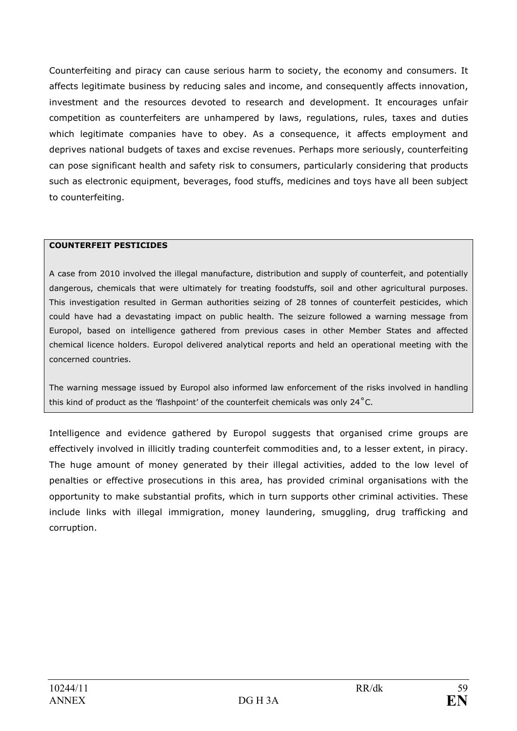Counterfeiting and piracy can cause serious harm to society, the economy and consumers. It affects legitimate business by reducing sales and income, and consequently affects innovation, investment and the resources devoted to research and development. It encourages unfair competition as counterfeiters are unhampered by laws, regulations, rules, taxes and duties which legitimate companies have to obey. As a consequence, it affects employment and deprives national budgets of taxes and excise revenues. Perhaps more seriously, counterfeiting can pose significant health and safety risk to consumers, particularly considering that products such as electronic equipment, beverages, food stuffs, medicines and toys have all been subject to counterfeiting.

### COUNTERFEIT PESTICIDES

A case from 2010 involved the illegal manufacture, distribution and supply of counterfeit, and potentially dangerous, chemicals that were ultimately for treating foodstuffs, soil and other agricultural purposes. This investigation resulted in German authorities seizing of 28 tonnes of counterfeit pesticides, which could have had a devastating impact on public health. The seizure followed a warning message from Europol, based on intelligence gathered from previous cases in other Member States and affected chemical licence holders. Europol delivered analytical reports and held an operational meeting with the concerned countries.

The warning message issued by Europol also informed law enforcement of the risks involved in handling this kind of product as the 'flashpoint' of the counterfeit chemicals was only 24˚C.

Intelligence and evidence gathered by Europol suggests that organised crime groups are effectively involved in illicitly trading counterfeit commodities and, to a lesser extent, in piracy. The huge amount of money generated by their illegal activities, added to the low level of penalties or effective prosecutions in this area, has provided criminal organisations with the opportunity to make substantial profits, which in turn supports other criminal activities. These include links with illegal immigration, money laundering, smuggling, drug trafficking and corruption.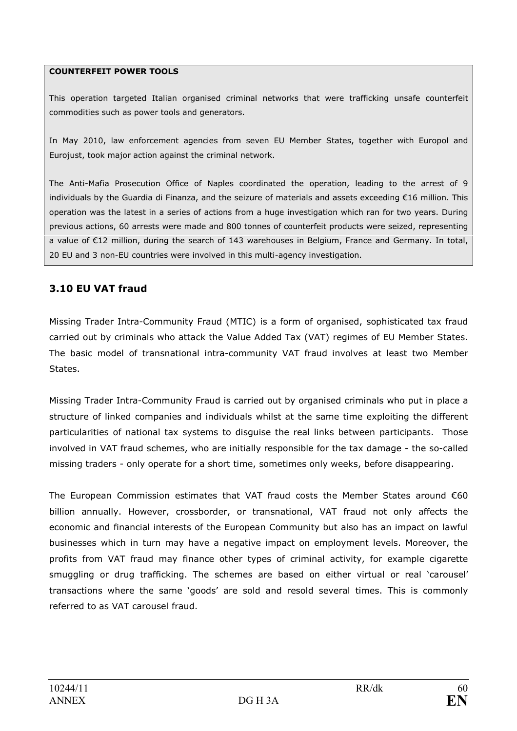#### COUNTERFEIT POWER TOOLS

This operation targeted Italian organised criminal networks that were trafficking unsafe counterfeit commodities such as power tools and generators.

In May 2010, law enforcement agencies from seven EU Member States, together with Europol and Eurojust, took major action against the criminal network.

The Anti-Mafia Prosecution Office of Naples coordinated the operation, leading to the arrest of 9 individuals by the Guardia di Finanza, and the seizure of materials and assets exceeding €16 million. This operation was the latest in a series of actions from a huge investigation which ran for two years. During previous actions, 60 arrests were made and 800 tonnes of counterfeit products were seized, representing a value of €12 million, during the search of 143 warehouses in Belgium, France and Germany. In total, 20 EU and 3 non-EU countries were involved in this multi-agency investigation.

## 3.10 EU VAT fraud

Missing Trader Intra-Community Fraud (MTIC) is a form of organised, sophisticated tax fraud carried out by criminals who attack the Value Added Tax (VAT) regimes of EU Member States. The basic model of transnational intra-community VAT fraud involves at least two Member States.

Missing Trader Intra-Community Fraud is carried out by organised criminals who put in place a structure of linked companies and individuals whilst at the same time exploiting the different particularities of national tax systems to disguise the real links between participants. Those involved in VAT fraud schemes, who are initially responsible for the tax damage - the so-called missing traders - only operate for a short time, sometimes only weeks, before disappearing.

The European Commission estimates that VAT fraud costs the Member States around  $\epsilon$ 60 billion annually. However, crossborder, or transnational, VAT fraud not only affects the economic and financial interests of the European Community but also has an impact on lawful businesses which in turn may have a negative impact on employment levels. Moreover, the profits from VAT fraud may finance other types of criminal activity, for example cigarette smuggling or drug trafficking. The schemes are based on either virtual or real 'carousel' transactions where the same 'goods' are sold and resold several times. This is commonly referred to as VAT carousel fraud.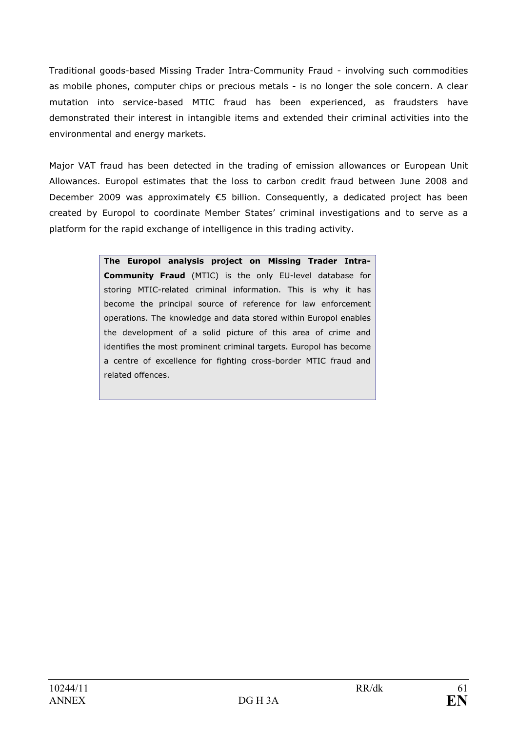Traditional goods-based Missing Trader Intra-Community Fraud - involving such commodities as mobile phones, computer chips or precious metals - is no longer the sole concern. A clear mutation into service-based MTIC fraud has been experienced, as fraudsters have demonstrated their interest in intangible items and extended their criminal activities into the environmental and energy markets.

Major VAT fraud has been detected in the trading of emission allowances or European Unit Allowances. Europol estimates that the loss to carbon credit fraud between June 2008 and December 2009 was approximately  $€5$  billion. Consequently, a dedicated project has been created by Europol to coordinate Member States' criminal investigations and to serve as a platform for the rapid exchange of intelligence in this trading activity.

> The Europol analysis project on Missing Trader Intra-Community Fraud (MTIC) is the only EU-level database for storing MTIC-related criminal information. This is why it has become the principal source of reference for law enforcement operations. The knowledge and data stored within Europol enables the development of a solid picture of this area of crime and identifies the most prominent criminal targets. Europol has become a centre of excellence for fighting cross-border MTIC fraud and related offences.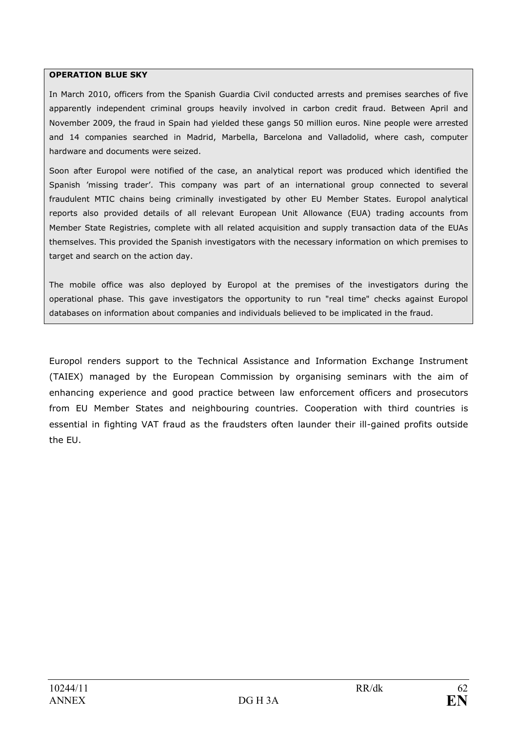#### OPERATION BLUE SKY

In March 2010, officers from the Spanish Guardia Civil conducted arrests and premises searches of five apparently independent criminal groups heavily involved in carbon credit fraud. Between April and November 2009, the fraud in Spain had yielded these gangs 50 million euros. Nine people were arrested and 14 companies searched in Madrid, Marbella, Barcelona and Valladolid, where cash, computer hardware and documents were seized.

Soon after Europol were notified of the case, an analytical report was produced which identified the Spanish 'missing trader'. This company was part of an international group connected to several fraudulent MTIC chains being criminally investigated by other EU Member States. Europol analytical reports also provided details of all relevant European Unit Allowance (EUA) trading accounts from Member State Registries, complete with all related acquisition and supply transaction data of the EUAs themselves. This provided the Spanish investigators with the necessary information on which premises to target and search on the action day.

The mobile office was also deployed by Europol at the premises of the investigators during the operational phase. This gave investigators the opportunity to run "real time" checks against Europol databases on information about companies and individuals believed to be implicated in the fraud.

Europol renders support to the Technical Assistance and Information Exchange Instrument (TAIEX) managed by the European Commission by organising seminars with the aim of enhancing experience and good practice between law enforcement officers and prosecutors from EU Member States and neighbouring countries. Cooperation with third countries is essential in fighting VAT fraud as the fraudsters often launder their ill-gained profits outside the EU.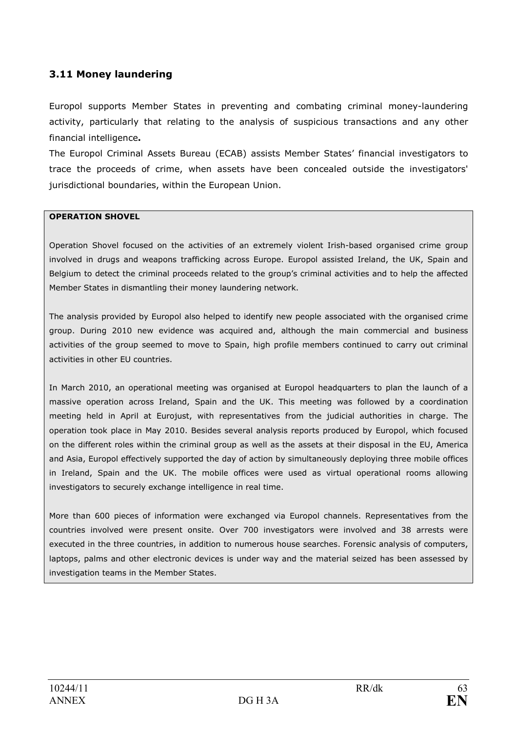## 3.11 Money laundering

Europol supports Member States in preventing and combating criminal money-laundering activity, particularly that relating to the analysis of suspicious transactions and any other financial intelligence.

The Europol Criminal Assets Bureau (ECAB) assists Member States' financial investigators to trace the proceeds of crime, when assets have been concealed outside the investigators' jurisdictional boundaries, within the European Union.

#### OPERATION SHOVEL

Operation Shovel focused on the activities of an extremely violent Irish-based organised crime group involved in drugs and weapons trafficking across Europe. Europol assisted Ireland, the UK, Spain and Belgium to detect the criminal proceeds related to the group's criminal activities and to help the affected Member States in dismantling their money laundering network.

The analysis provided by Europol also helped to identify new people associated with the organised crime group. During 2010 new evidence was acquired and, although the main commercial and business activities of the group seemed to move to Spain, high profile members continued to carry out criminal activities in other EU countries.

In March 2010, an operational meeting was organised at Europol headquarters to plan the launch of a massive operation across Ireland, Spain and the UK. This meeting was followed by a coordination meeting held in April at Eurojust, with representatives from the judicial authorities in charge. The operation took place in May 2010. Besides several analysis reports produced by Europol, which focused on the different roles within the criminal group as well as the assets at their disposal in the EU, America and Asia, Europol effectively supported the day of action by simultaneously deploying three mobile offices in Ireland, Spain and the UK. The mobile offices were used as virtual operational rooms allowing investigators to securely exchange intelligence in real time.

More than 600 pieces of information were exchanged via Europol channels. Representatives from the countries involved were present onsite. Over 700 investigators were involved and 38 arrests were executed in the three countries, in addition to numerous house searches. Forensic analysis of computers, laptops, palms and other electronic devices is under way and the material seized has been assessed by investigation teams in the Member States.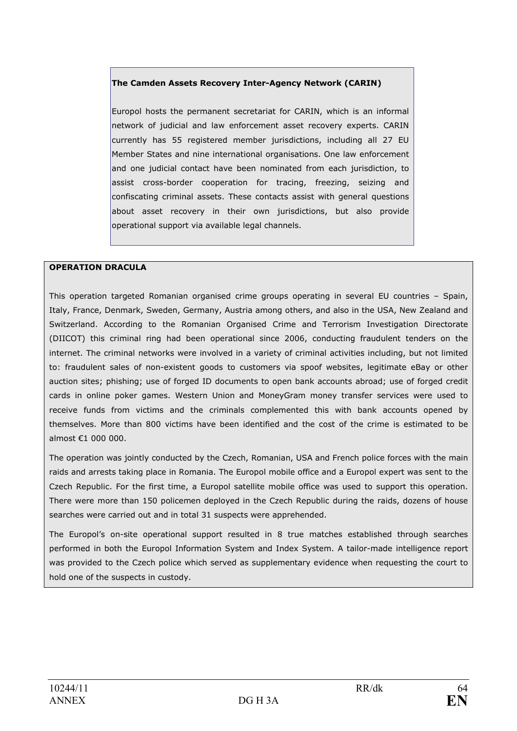#### The Camden Assets Recovery Inter-Agency Network (CARIN)

Europol hosts the permanent secretariat for CARIN, which is an informal network of judicial and law enforcement asset recovery experts. CARIN currently has 55 registered member jurisdictions, including all 27 EU Member States and nine international organisations. One law enforcement and one judicial contact have been nominated from each jurisdiction, to assist cross-border cooperation for tracing, freezing, seizing and confiscating criminal assets. These contacts assist with general questions about asset recovery in their own jurisdictions, but also provide operational support via available legal channels.

#### **OPERATION DRACULA**

This operation targeted Romanian organised crime groups operating in several EU countries – Spain, Italy, France, Denmark, Sweden, Germany, Austria among others, and also in the USA, New Zealand and Switzerland. According to the Romanian Organised Crime and Terrorism Investigation Directorate (DIICOT) this criminal ring had been operational since 2006, conducting fraudulent tenders on the internet. The criminal networks were involved in a variety of criminal activities including, but not limited to: fraudulent sales of non-existent goods to customers via spoof websites, legitimate eBay or other auction sites; phishing; use of forged ID documents to open bank accounts abroad; use of forged credit cards in online poker games. Western Union and MoneyGram money transfer services were used to receive funds from victims and the criminals complemented this with bank accounts opened by themselves. More than 800 victims have been identified and the cost of the crime is estimated to be almost €1 000 000.

The operation was jointly conducted by the Czech, Romanian, USA and French police forces with the main raids and arrests taking place in Romania. The Europol mobile office and a Europol expert was sent to the Czech Republic. For the first time, a Europol satellite mobile office was used to support this operation. There were more than 150 policemen deployed in the Czech Republic during the raids, dozens of house searches were carried out and in total 31 suspects were apprehended.

The Europol's on-site operational support resulted in 8 true matches established through searches performed in both the Europol Information System and Index System. A tailor-made intelligence report was provided to the Czech police which served as supplementary evidence when requesting the court to hold one of the suspects in custody.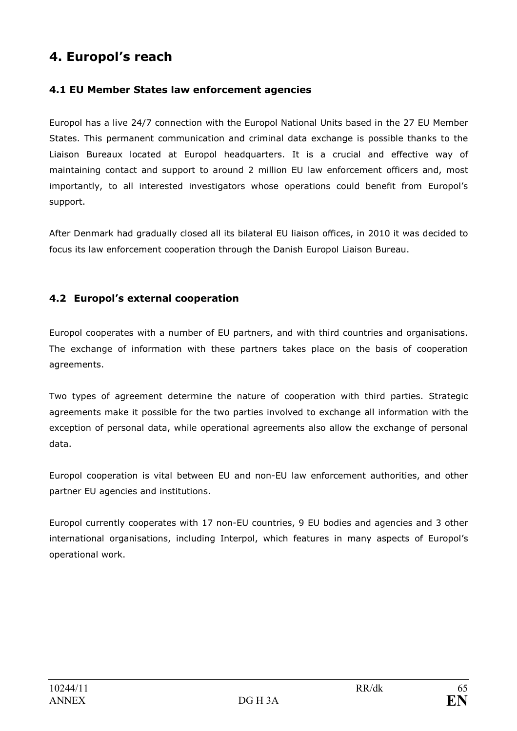# 4. Europol's reach

## 4.1 EU Member States law enforcement agencies

Europol has a live 24/7 connection with the Europol National Units based in the 27 EU Member States. This permanent communication and criminal data exchange is possible thanks to the Liaison Bureaux located at Europol headquarters. It is a crucial and effective way of maintaining contact and support to around 2 million EU law enforcement officers and, most importantly, to all interested investigators whose operations could benefit from Europol's support.

After Denmark had gradually closed all its bilateral EU liaison offices, in 2010 it was decided to focus its law enforcement cooperation through the Danish Europol Liaison Bureau.

## 4.2 Europol's external cooperation

Europol cooperates with a number of EU partners, and with third countries and organisations. The exchange of information with these partners takes place on the basis of cooperation agreements.

Two types of agreement determine the nature of cooperation with third parties. Strategic agreements make it possible for the two parties involved to exchange all information with the exception of personal data, while operational agreements also allow the exchange of personal data.

Europol cooperation is vital between EU and non-EU law enforcement authorities, and other partner EU agencies and institutions.

Europol currently cooperates with 17 non-EU countries, 9 EU bodies and agencies and 3 other international organisations, including Interpol, which features in many aspects of Europol's operational work.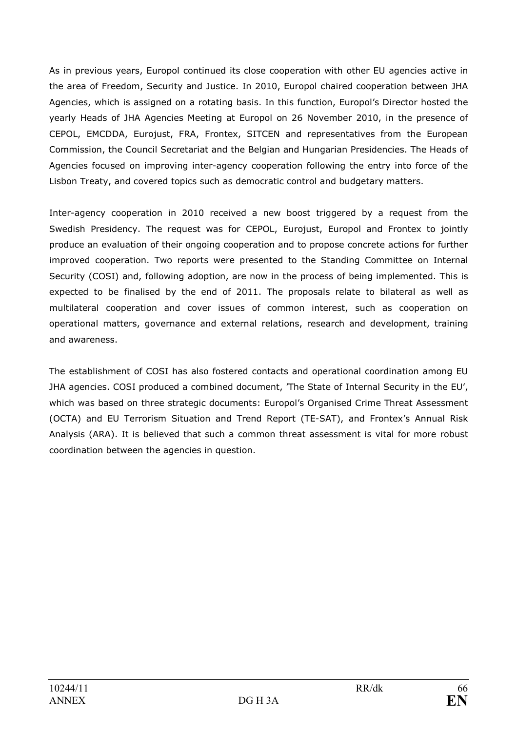As in previous years, Europol continued its close cooperation with other EU agencies active in the area of Freedom, Security and Justice. In 2010, Europol chaired cooperation between JHA Agencies, which is assigned on a rotating basis. In this function, Europol's Director hosted the yearly Heads of JHA Agencies Meeting at Europol on 26 November 2010, in the presence of CEPOL, EMCDDA, Eurojust, FRA, Frontex, SITCEN and representatives from the European Commission, the Council Secretariat and the Belgian and Hungarian Presidencies. The Heads of Agencies focused on improving inter-agency cooperation following the entry into force of the Lisbon Treaty, and covered topics such as democratic control and budgetary matters.

Inter-agency cooperation in 2010 received a new boost triggered by a request from the Swedish Presidency. The request was for CEPOL, Eurojust, Europol and Frontex to jointly produce an evaluation of their ongoing cooperation and to propose concrete actions for further improved cooperation. Two reports were presented to the Standing Committee on Internal Security (COSI) and, following adoption, are now in the process of being implemented. This is expected to be finalised by the end of 2011. The proposals relate to bilateral as well as multilateral cooperation and cover issues of common interest, such as cooperation on operational matters, governance and external relations, research and development, training and awareness.

The establishment of COSI has also fostered contacts and operational coordination among EU JHA agencies. COSI produced a combined document, 'The State of Internal Security in the EU', which was based on three strategic documents: Europol's Organised Crime Threat Assessment (OCTA) and EU Terrorism Situation and Trend Report (TE-SAT), and Frontex's Annual Risk Analysis (ARA). It is believed that such a common threat assessment is vital for more robust coordination between the agencies in question.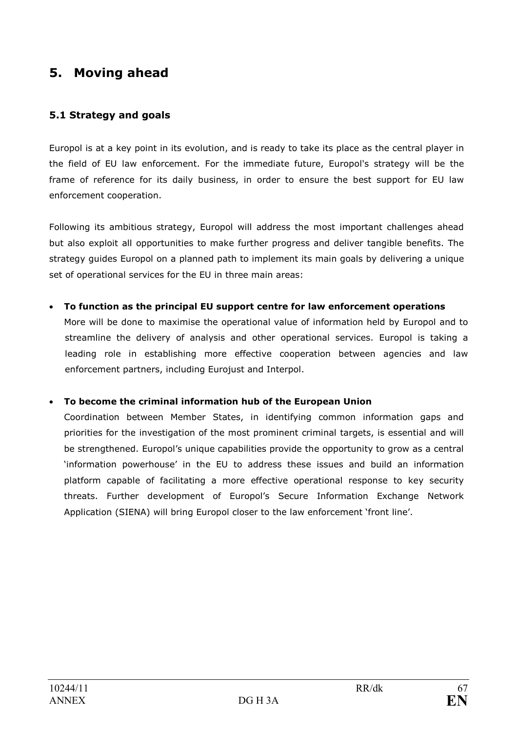# 5. Moving ahead

## 5.1 Strategy and goals

Europol is at a key point in its evolution, and is ready to take its place as the central player in the field of EU law enforcement. For the immediate future, Europol's strategy will be the frame of reference for its daily business, in order to ensure the best support for EU law enforcement cooperation.

Following its ambitious strategy, Europol will address the most important challenges ahead but also exploit all opportunities to make further progress and deliver tangible benefits. The strategy guides Europol on a planned path to implement its main goals by delivering a unique set of operational services for the EU in three main areas:

### • To function as the principal EU support centre for law enforcement operations

More will be done to maximise the operational value of information held by Europol and to streamline the delivery of analysis and other operational services. Europol is taking a leading role in establishing more effective cooperation between agencies and law enforcement partners, including Eurojust and Interpol.

### • To become the criminal information hub of the European Union

Coordination between Member States, in identifying common information gaps and priorities for the investigation of the most prominent criminal targets, is essential and will be strengthened. Europol's unique capabilities provide the opportunity to grow as a central 'information powerhouse' in the EU to address these issues and build an information platform capable of facilitating a more effective operational response to key security threats. Further development of Europol's Secure Information Exchange Network Application (SIENA) will bring Europol closer to the law enforcement 'front line'.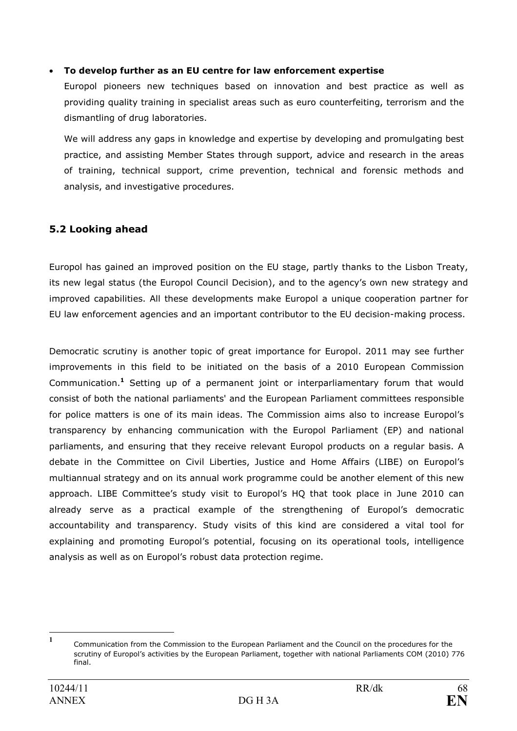### • To develop further as an EU centre for law enforcement expertise

Europol pioneers new techniques based on innovation and best practice as well as providing quality training in specialist areas such as euro counterfeiting, terrorism and the dismantling of drug laboratories.

We will address any gaps in knowledge and expertise by developing and promulgating best practice, and assisting Member States through support, advice and research in the areas of training, technical support, crime prevention, technical and forensic methods and analysis, and investigative procedures.

## 5.2 Looking ahead

Europol has gained an improved position on the EU stage, partly thanks to the Lisbon Treaty, its new legal status (the Europol Council Decision), and to the agency's own new strategy and improved capabilities. All these developments make Europol a unique cooperation partner for EU law enforcement agencies and an important contributor to the EU decision-making process.

Democratic scrutiny is another topic of great importance for Europol. 2011 may see further improvements in this field to be initiated on the basis of a 2010 European Commission Communication.<sup>1</sup> Setting up of a permanent joint or interparliamentary forum that would consist of both the national parliaments' and the European Parliament committees responsible for police matters is one of its main ideas. The Commission aims also to increase Europol's transparency by enhancing communication with the Europol Parliament (EP) and national parliaments, and ensuring that they receive relevant Europol products on a regular basis. A debate in the Committee on Civil Liberties, Justice and Home Affairs (LIBE) on Europol's multiannual strategy and on its annual work programme could be another element of this new approach. LIBE Committee's study visit to Europol's HQ that took place in June 2010 can already serve as a practical example of the strengthening of Europol's democratic accountability and transparency. Study visits of this kind are considered a vital tool for explaining and promoting Europol's potential, focusing on its operational tools, intelligence analysis as well as on Europol's robust data protection regime.

 $\frac{1}{1}$ Communication from the Commission to the European Parliament and the Council on the procedures for the scrutiny of Europol's activities by the European Parliament, together with national Parliaments COM (2010) 776 final.